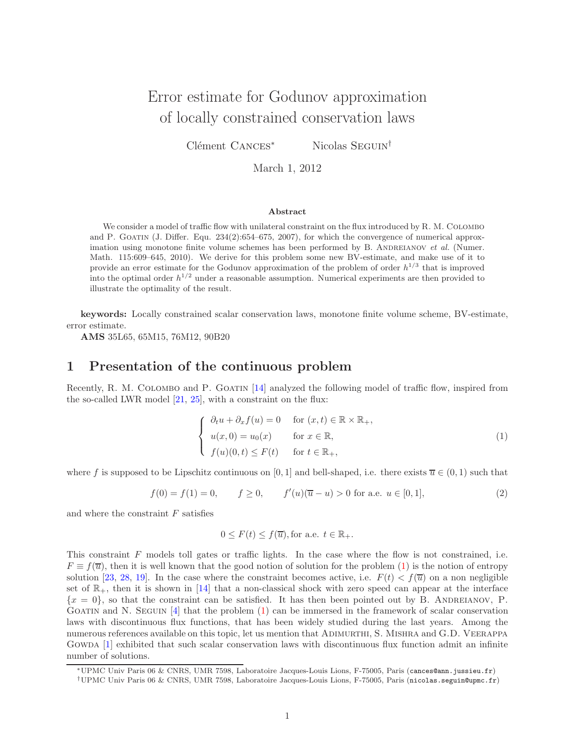# Error estimate for Godunov approximation of locally constrained conservation laws

Clément CANCES<sup>∗</sup> Nicolas Seguin<sup>†</sup>

March 1, 2012

#### Abstract

We consider a model of traffic flow with unilateral constraint on the flux introduced by R. M. COLOMBO and P. GOATIN (J. Differ. Equ. 234(2):654–675, 2007), for which the convergence of numerical approximation using monotone finite volume schemes has been performed by B. ANDREIANOV et al. (Numer. Math. 115:609–645, 2010). We derive for this problem some new BV-estimate, and make use of it to provide an error estimate for the Godunov approximation of the problem of order  $h^{1/3}$  that is improved into the optimal order  $h^{1/2}$  under a reasonable assumption. Numerical experiments are then provided to illustrate the optimality of the result.

keywords: Locally constrained scalar conservation laws, monotone finite volume scheme, BV-estimate, error estimate.

AMS 35L65, 65M15, 76M12, 90B20

## 1 Presentation of the continuous problem

Recently, R. M. COLOMBO and P. GOATIN [\[14\]](#page-22-0) analyzed the following model of traffic flow, inspired from the so-called LWR model [\[21,](#page-23-0) [25\]](#page-23-1), with a constraint on the flux:

<span id="page-0-0"></span>
$$
\begin{cases}\n\partial_t u + \partial_x f(u) = 0 & \text{for } (x, t) \in \mathbb{R} \times \mathbb{R}_+, \\
u(x, 0) = u_0(x) & \text{for } x \in \mathbb{R}, \\
f(u)(0, t) \le F(t) & \text{for } t \in \mathbb{R}_+, \n\end{cases}
$$
\n(1)

where f is supposed to be Lipschitz continuous on [0, 1] and bell-shaped, i.e. there exists  $\overline{u} \in (0,1)$  such that

<span id="page-0-1"></span> $f(0) = f(1) = 0,$   $f \ge 0,$   $f'(u)(\overline{u} - u) > 0$  for a.e.  $u \in [0, 1],$  (2)

and where the constraint  $F$  satisfies

$$
0 \leq F(t) \leq f(\overline{u}),
$$
 for a.e.  $t \in \mathbb{R}_+$ .

This constraint F models toll gates or traffic lights. In the case where the flow is not constrained, i.e.  $F \equiv f(\overline{u})$ , then it is well known that the good notion of solution for the problem [\(1\)](#page-0-0) is the notion of entropy solution [\[23,](#page-23-2) [28,](#page-23-3) [19\]](#page-22-1). In the case where the constraint becomes active, i.e.  $F(t) < f(\bar{u})$  on a non negligible set of  $\mathbb{R}_+$ , then it is shown in [\[14\]](#page-22-0) that a non-classical shock with zero speed can appear at the interface  ${x = 0}$ , so that the constraint can be satisfied. It has then been pointed out by B. ANDREIANOV, P. GOATIN and N. SEGUIN  $[4]$  that the problem  $(1)$  can be immersed in the framework of scalar conservation laws with discontinuous flux functions, that has been widely studied during the last years. Among the numerous references available on this topic, let us mention that Adimurthi, S. Mishra and G.D. Veerappa Gowda [\[1\]](#page-22-3) exhibited that such scalar conservation laws with discontinuous flux function admit an infinite number of solutions.

<sup>∗</sup>UPMC Univ Paris 06 & CNRS, UMR 7598, Laboratoire Jacques-Louis Lions, F-75005, Paris (cances@ann.jussieu.fr)

<sup>†</sup>UPMC Univ Paris 06 & CNRS, UMR 7598, Laboratoire Jacques-Louis Lions, F-75005, Paris (nicolas.seguin@upmc.fr)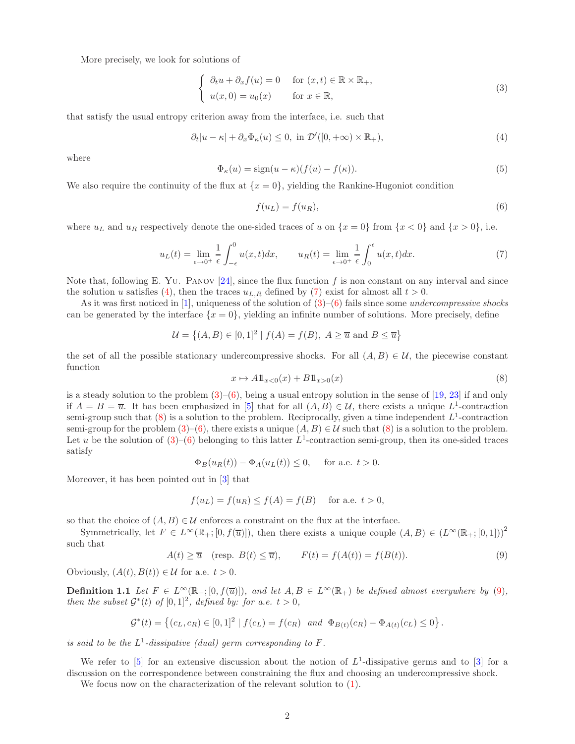More precisely, we look for solutions of

<span id="page-1-2"></span>
$$
\begin{cases}\n\partial_t u + \partial_x f(u) = 0 & \text{for } (x, t) \in \mathbb{R} \times \mathbb{R}_+, \\
u(x, 0) = u_0(x) & \text{for } x \in \mathbb{R},\n\end{cases}
$$
\n(3)

that satisfy the usual entropy criterion away from the interface, i.e. such that

<span id="page-1-0"></span>
$$
\partial_t |u - \kappa| + \partial_x \Phi_\kappa(u) \le 0, \text{ in } \mathcal{D}'([0, +\infty) \times \mathbb{R}_+), \tag{4}
$$

where

<span id="page-1-7"></span>
$$
\Phi_{\kappa}(u) = \text{sign}(u - \kappa)(f(u) - f(\kappa)).\tag{5}
$$

We also require the continuity of the flux at  $\{x = 0\}$ , yielding the Rankine-Hugoniot condition

<span id="page-1-3"></span>
$$
f(u_L) = f(u_R),\tag{6}
$$

where  $u<sub>L</sub>$  and  $u<sub>R</sub>$  respectively denote the one-sided traces of u on  $\{x = 0\}$  from  $\{x < 0\}$  and  $\{x > 0\}$ , i.e.

<span id="page-1-1"></span>
$$
u_L(t) = \lim_{\epsilon \to 0^+} \frac{1}{\epsilon} \int_{-\epsilon}^0 u(x, t) dx, \qquad u_R(t) = \lim_{\epsilon \to 0^+} \frac{1}{\epsilon} \int_0^{\epsilon} u(x, t) dx.
$$
 (7)

Note that, following E. Yu. PANOV [\[24\]](#page-23-4), since the flux function f is non constant on any interval and since the solution u satisfies [\(4\)](#page-1-0), then the traces  $u_{L,R}$  defined by [\(7\)](#page-1-1) exist for almost all  $t > 0$ .

As it was first noticed in [\[1\]](#page-22-3), uniqueness of the solution of  $(3)$ – $(6)$  fails since some *undercompressive shocks* can be generated by the interface  $\{x = 0\}$ , yielding an infinite number of solutions. More precisely, define

$$
\mathcal{U} = \left\{ (A, B) \in [0, 1]^2 \mid f(A) = f(B), A \ge \overline{u} \text{ and } B \le \overline{u} \right\}
$$

the set of all the possible stationary undercompressive shocks. For all  $(A, B) \in \mathcal{U}$ , the piecewise constant function

<span id="page-1-4"></span>
$$
x \mapsto A \mathbb{1}_{x<0}(x) + B \mathbb{1}_{x>0}(x) \tag{8}
$$

is a steady solution to the problem  $(3)$ – $(6)$ , being a usual entropy solution in the sense of [\[19,](#page-22-1) [23\]](#page-23-2) if and only if  $A = B = \overline{u}$ . It has been emphasized in [\[5\]](#page-22-4) that for all  $(A, B) \in \mathcal{U}$ , there exists a unique  $L^1$ -contraction semi-group such that  $(8)$  is a solution to the problem. Reciprocally, given a time independent  $L^1$ -contraction semi-group for the problem  $(3)$ – $(6)$ , there exists a unique  $(A, B) \in \mathcal{U}$  such that  $(8)$  is a solution to the problem. Let u be the solution of  $(3)$ – $(6)$  belonging to this latter  $L^1$ -contraction semi-group, then its one-sided traces satisfy

$$
\Phi_B(u_R(t)) - \Phi_A(u_L(t)) \le 0, \quad \text{ for a.e. } t > 0.
$$

Moreover, it has been pointed out in [\[3\]](#page-22-5) that

$$
f(u_L) = f(u_R) \le f(A) = f(B) \quad \text{ for a.e. } t > 0,
$$

so that the choice of  $(A, B) \in \mathcal{U}$  enforces a constraint on the flux at the interface.

Symmetrically, let  $F \in L^{\infty}(\mathbb{R}_{+};[0, f(\overline{u})])$ , then there exists a unique couple  $(A, B) \in (L^{\infty}(\mathbb{R}_{+};[0, 1]))^{2}$ such that

<span id="page-1-8"></span><span id="page-1-5"></span>
$$
A(t) \ge \overline{u} \quad (\text{resp. } B(t) \le \overline{u}), \qquad F(t) = f(A(t)) = f(B(t)). \tag{9}
$$

Obviously,  $(A(t), B(t)) \in \mathcal{U}$  for a.e.  $t > 0$ .

**Definition 1.1** Let  $F \in L^{\infty}(\mathbb{R}_{+}; [0, f(\overline{u})])$ , and let  $A, B \in L^{\infty}(\mathbb{R}_{+})$  be defined almost everywhere by [\(9\)](#page-1-5), then the subset  $\mathcal{G}^*(t)$  of  $[0,1]^2$ , defined by: for a.e.  $t > 0$ ,

$$
\mathcal{G}^*(t) = \left\{ (c_L, c_R) \in [0, 1]^2 \mid f(c_L) = f(c_R) \text{ and } \Phi_{B(t)}(c_R) - \Phi_{A(t)}(c_L) \le 0 \right\}.
$$

is said to be the  $L^1$ -dissipative (dual) germ corresponding to F.

We refer to  $[5]$  for an extensive discussion about the notion of  $L^1$ -dissipative germs and to  $[3]$  for a discussion on the correspondence between constraining the flux and choosing an undercompressive shock.

<span id="page-1-6"></span>We focus now on the characterization of the relevant solution to  $(1)$ .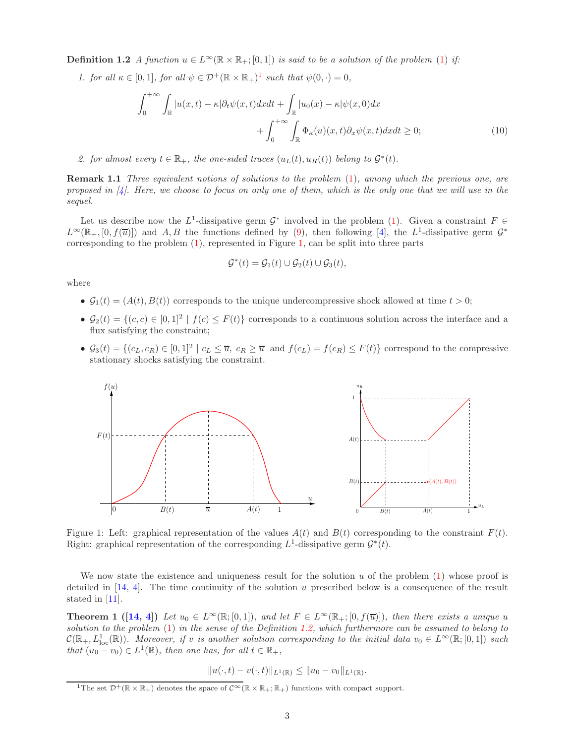**Definition 1.2** A function  $u \in L^{\infty}(\mathbb{R} \times \mathbb{R}_{+}; [0, 1])$  is said to be a solution of the problem [\(1\)](#page-0-0) if:

[1](#page-2-0). for all  $\kappa \in [0,1]$ , for all  $\psi \in \mathcal{D}^+(\mathbb{R} \times \mathbb{R}_+)^1$  such that  $\psi(0, \cdot) = 0$ ,

<span id="page-2-2"></span>
$$
\int_0^{+\infty} \int_{\mathbb{R}} |u(x,t) - \kappa| \partial_t \psi(x,t) dx dt + \int_{\mathbb{R}} |u_0(x) - \kappa| \psi(x,0) dx + \int_0^{+\infty} \int_{\mathbb{R}} \Phi_\kappa(u)(x,t) \partial_x \psi(x,t) dx dt \ge 0;
$$
\n(10)

2. for almost every  $t \in \mathbb{R}_+$ , the one-sided traces  $(u_L(t), u_R(t))$  belong to  $\mathcal{G}^*(t)$ .

Remark 1.1 Three equivalent notions of solutions to the problem [\(1\)](#page-0-0), among which the previous one, are proposed in  $[4]$ . Here, we choose to focus on only one of them, which is the only one that we will use in the sequel.

Let us describe now the L<sup>1</sup>-dissipative germ  $\mathcal{G}^*$  involved in the problem [\(1\)](#page-0-0). Given a constraint  $F \in$  $L^{\infty}(\mathbb{R}_+,[0, f(\overline{u})])$  and A, B the functions defined by [\(9\)](#page-1-5), then following [\[4\]](#page-22-2), the L<sup>1</sup>-dissipative germ  $\mathcal{G}^*$ corresponding to the problem [\(1\)](#page-0-0), represented in Figure [1,](#page-2-1) can be split into three parts

$$
\mathcal{G}^*(t) = \mathcal{G}_1(t) \cup \mathcal{G}_2(t) \cup \mathcal{G}_3(t),
$$

where

- $\mathcal{G}_1(t) = (A(t), B(t))$  corresponds to the unique undercompressive shock allowed at time  $t > 0$ ;
- $G_2(t) = \{(c, c) \in [0, 1]^2 \mid f(c) \leq F(t)\}\)$  corresponds to a continuous solution across the interface and a flux satisfying the constraint;
- $\mathcal{G}_3(t) = \{(c_L, c_R) \in [0, 1]^2 \mid c_L \leq \overline{u}, c_R \geq \overline{u} \text{ and } f(c_L) = f(c_R) \leq F(t)\}\)$  correspond to the compressive stationary shocks satisfying the constraint.



<span id="page-2-1"></span>Figure 1: Left: graphical representation of the values  $A(t)$  and  $B(t)$  corresponding to the constraint  $F(t)$ . Right: graphical representation of the corresponding  $L^1$ -dissipative germ  $\mathcal{G}^*(t)$ .

We now state the existence and uniqueness result for the solution  $u$  of the problem  $(1)$  whose proof is detailed in  $[14, 4]$  $[14, 4]$ . The time continuity of the solution u prescribed below is a consequence of the result stated in [\[11\]](#page-22-6).

**Theorem 1** ([\[14,](#page-22-0) [4\]](#page-22-2)) Let  $u_0 \in L^{\infty}(\mathbb{R};[0,1])$ , and let  $F \in L^{\infty}(\mathbb{R}_+;[0, f(\overline{u})])$ , then there exists a unique u solution to the problem [\(1\)](#page-0-0) in the sense of the Definition [1.2,](#page-1-6) which furthermore can be assumed to belong to  $\mathcal{C}(\mathbb{R}_+, L^1_{loc}(\mathbb{R}))$ . Moreover, if v is another solution corresponding to the initial data  $v_0 \in L^{\infty}(\mathbb{R};[0,1])$  such that  $(u_0 - v_0) \in L^1(\mathbb{R})$ , then one has, for all  $t \in \mathbb{R}_+$ ,

$$
||u(\cdot,t)-v(\cdot,t)||_{L^1(\mathbb{R})}\leq ||u_0-v_0||_{L^1(\mathbb{R})}.
$$

<span id="page-2-0"></span><sup>&</sup>lt;sup>1</sup>The set  $\mathcal{D}^+(\mathbb{R} \times \mathbb{R}_+)$  denotes the space of  $\mathcal{C}^{\infty}(\mathbb{R} \times \mathbb{R}_+;\mathbb{R}_+)$  functions with compact support.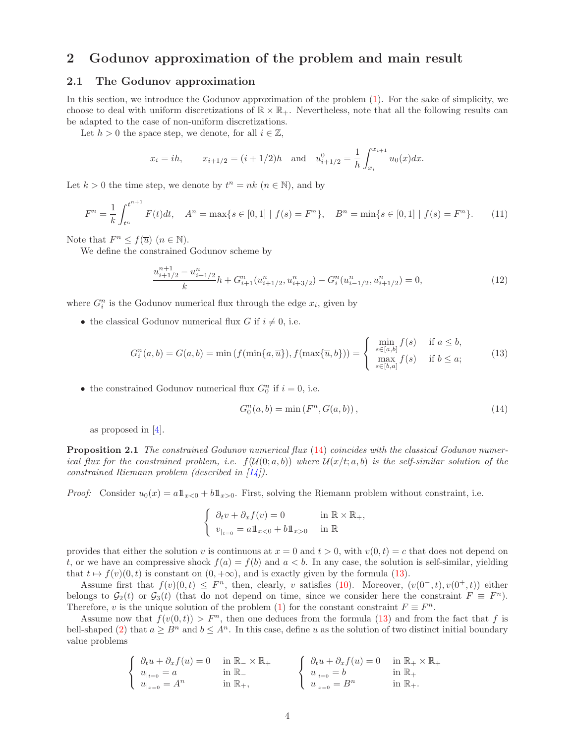## 2 Godunov approximation of the problem and main result

#### 2.1 The Godunov approximation

In this section, we introduce the Godunov approximation of the problem [\(1\)](#page-0-0). For the sake of simplicity, we choose to deal with uniform discretizations of  $\mathbb{R} \times \mathbb{R}_+$ . Nevertheless, note that all the following results can be adapted to the case of non-uniform discretizations.

Let  $h > 0$  the space step, we denote, for all  $i \in \mathbb{Z}$ ,

$$
x_i = ih
$$
,  $x_{i+1/2} = (i + 1/2)h$  and  $u_{i+1/2}^0 = \frac{1}{h} \int_{x_i}^{x_{i+1}} u_0(x) dx$ .

Let  $k > 0$  the time step, we denote by  $t^n = nk$   $(n \in \mathbb{N})$ , and by

<span id="page-3-3"></span>
$$
F^{n} = \frac{1}{k} \int_{t^{n}}^{t^{n+1}} F(t)dt, \quad A^{n} = \max\{s \in [0, 1] \mid f(s) = F^{n}\}, \quad B^{n} = \min\{s \in [0, 1] \mid f(s) = F^{n}\}.
$$
 (11)

Note that  $F^n \leq f(\overline{u}) \ (n \in \mathbb{N}).$ 

We define the constrained Godunov scheme by

<span id="page-3-2"></span>
$$
\frac{u_{i+1/2}^{n+1} - u_{i+1/2}^n}{k}h + G_{i+1}^n(u_{i+1/2}^n, u_{i+3/2}^n) - G_i^n(u_{i-1/2}^n, u_{i+1/2}^n) = 0,\tag{12}
$$

where  $G_i^n$  is the Godunov numerical flux through the edge  $x_i$ , given by

• the classical Godunov numerical flux G if  $i \neq 0$ , i.e.

<span id="page-3-1"></span>
$$
G_i^n(a, b) = G(a, b) = \min\left(f(\min\{a, \overline{u}\}), f(\max\{\overline{u}, b\})\right) = \begin{cases} \min_{s \in [a, b]} f(s) & \text{if } a \le b, \\ \max_{s \in [b, a]} f(s) & \text{if } b \le a; \end{cases}
$$
(13)

• the constrained Godunov numerical flux  $G_0^n$  if  $i = 0$ , i.e.

<span id="page-3-0"></span>
$$
G_0^n(a, b) = \min(F^n, G(a, b)),
$$
\n(14)

as proposed in [\[4\]](#page-22-2).

Proposition 2.1 The constrained Godunov numerical flux [\(14\)](#page-3-0) coincides with the classical Godunov numerical flux for the constrained problem, i.e.  $f(U(0; a, b))$  where  $U(x/t; a, b)$  is the self-similar solution of the constrained Riemann problem (described in  $\left[14\right]$ ).

*Proof:* Consider  $u_0(x) = a \mathbb{1}_{x>0} + b \mathbb{1}_{x>0}$ . First, solving the Riemann problem without constraint, i.e.

$$
\begin{cases} \n\partial_t v + \partial_x f(v) = 0 & \text{in } \mathbb{R} \times \mathbb{R}_+, \\ \nv_{|_{t=0}} = a \mathbb{1}_{x<0} + b \mathbb{1}_{x>0} & \text{in } \mathbb{R} \n\end{cases}
$$

provides that either the solution v is continuous at  $x = 0$  and  $t > 0$ , with  $v(0, t) = c$  that does not depend on t, or we have an compressive shock  $f(a) = f(b)$  and  $a < b$ . In any case, the solution is self-similar, yielding that  $t \mapsto f(v)(0, t)$  is constant on  $(0, +\infty)$ , and is exactly given by the formula [\(13\)](#page-3-1).

Assume first that  $f(v)(0,t) \leq F^n$ , then, clearly, v satisfies [\(10\)](#page-2-2). Moreover,  $(v(0^-, t), v(0^+, t))$  either belongs to  $G_2(t)$  or  $G_3(t)$  (that do not depend on time, since we consider here the constraint  $F \equiv F^n$ ). Therefore, v is the unique solution of the problem [\(1\)](#page-0-0) for the constant constraint  $F \equiv F^n$ .

Assume now that  $f(v(0, t)) > F<sup>n</sup>$ , then one deduces from the formula [\(13\)](#page-3-1) and from the fact that f is bell-shaped [\(2\)](#page-0-1) that  $a \geq B^n$  and  $b \leq A^n$ . In this case, define u as the solution of two distinct initial boundary value problems

$$
\left\{\begin{array}{ll}\partial_t u + \partial_x f(u) = 0 & \text{ in }\mathbb{R}_-\times\mathbb{R}_+\\ u_{|_{t=0}} = a & \text{ in }\mathbb{R}_-\end{array}\right. \qquad \left\{\begin{array}{ll}\partial_t u + \partial_x f(u) = 0 & \text{ in }\mathbb{R}_+\times\mathbb{R}_+\\ u_{|_{t=0}} = b & \text{ in }\mathbb{R}_+\end{array}\right.
$$
\n
$$
\left\{\begin{array}{ll}\partial_t u + \partial_x f(u) = 0 & \text{ in }\mathbb{R}_+\times\mathbb{R}_+\\ u_{|_{t=0}} = b & \text{ in }\mathbb{R}_+\end{array}\right.
$$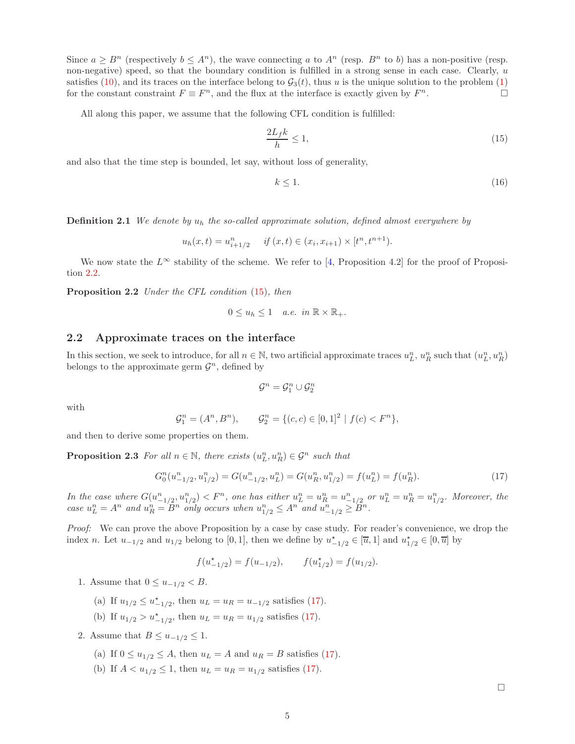Since  $a \geq B^n$  (respectively  $b \leq A^n$ ), the wave connecting a to  $A^n$  (resp.  $B^n$  to b) has a non-positive (resp. non-negative) speed, so that the boundary condition is fulfilled in a strong sense in each case. Clearly, u satisfies [\(10\)](#page-2-2), and its traces on the interface belong to  $G_3(t)$ , thus u is the unique solution to the problem [\(1\)](#page-0-0) for the constant constraint  $F \equiv F<sup>n</sup>$ , and the flux at the interface is exactly given by F  $n$ .

All along this paper, we assume that the following CFL condition is fulfilled:

<span id="page-4-1"></span>
$$
\frac{2L_f k}{h} \le 1,\tag{15}
$$

and also that the time step is bounded, let say, without loss of generality,

<span id="page-4-5"></span>
$$
k \le 1. \tag{16}
$$

<span id="page-4-3"></span>**Definition 2.1** We denote by  $u_h$  the so-called approximate solution, defined almost everywhere by

 $u_h(x,t) = u_{i+1/2}^n$  if  $(x,t) \in (x_i, x_{i+1}) \times [t^n, t^{n+1}).$ 

<span id="page-4-0"></span>We now state the  $L^{\infty}$  stability of the scheme. We refer to [\[4,](#page-22-2) Proposition 4.2] for the proof of Proposition [2.2.](#page-4-0)

Proposition 2.2 Under the CFL condition  $(15)$ , then

$$
0 \le u_h \le 1 \quad a.e. \ in \ \mathbb{R} \times \mathbb{R}_+.
$$

## <span id="page-4-6"></span>2.2 Approximate traces on the interface

In this section, we seek to introduce, for all  $n \in \mathbb{N}$ , two artificial approximate traces  $u_L^n, u_R^n$  such that  $(u_L^n, u_R^n)$ belongs to the approximate germ  $\mathcal{G}^n$ , defined by

$$
\mathcal{G}^n = \mathcal{G}^n_1 \cup \mathcal{G}^n_2
$$

with

$$
\mathcal{G}_1^n = (A^n, B^n), \qquad \mathcal{G}_2^n = \{ (c, c) \in [0, 1]^2 \mid f(c) < F^n \},
$$

<span id="page-4-4"></span>and then to derive some properties on them.

**Proposition 2.3** For all  $n \in \mathbb{N}$ , there exists  $(u_L^n, u_R^n) \in \mathcal{G}^n$  such that

<span id="page-4-2"></span>
$$
G_0^n(u_{-1/2}^n, u_{1/2}^n) = G(u_{-1/2}^n, u_L^n) = G(u_R^n, u_{1/2}^n) = f(u_L^n) = f(u_R^n). \tag{17}
$$

In the case where  $G(u_{-1/2}^n, u_{1/2}^n) < F^n$ , one has either  $u_L^n = u_R^n = u_{-1/2}^n$  or  $u_L^n = u_R^n = u_{1/2}^n$ . Moreover, the case  $u_L^n = A^n$  and  $u_R^n = B^n$  only occurs when  $u_{1/2}^n \leq A^n$  and  $u_{-1/2}^n \geq B^n$ .

Proof: We can prove the above Proposition by a case by case study. For reader's convenience, we drop the index n. Let  $u_{-1/2}$  and  $u_{1/2}$  belong to [0, 1], then we define by  $u_{-1/2}^* \in [\overline{u}, 1]$  and  $u_{1/2}^* \in [0, \overline{u}]$  by

$$
f(u_{-1/2}^*) = f(u_{-1/2}), \qquad f(u_{1/2}^*) = f(u_{1/2}).
$$

1. Assume that  $0 \le u_{-1/2} < B$ .

- (a) If  $u_{1/2} \le u_{-1/2}^*$ , then  $u_L = u_R = u_{-1/2}$  satisfies [\(17\)](#page-4-2).
- (b) If  $u_{1/2} > u_{-1/2}^*$ , then  $u_L = u_R = u_{1/2}$  satisfies [\(17\)](#page-4-2).
- 2. Assume that  $B \leq u_{-1/2} \leq 1$ .
	- (a) If  $0 \le u_{1/2} \le A$ , then  $u_L = A$  and  $u_R = B$  satisfies [\(17\)](#page-4-2).
	- (b) If  $A < u_{1/2} \le 1$ , then  $u_L = u_R = u_{1/2}$  satisfies [\(17\)](#page-4-2).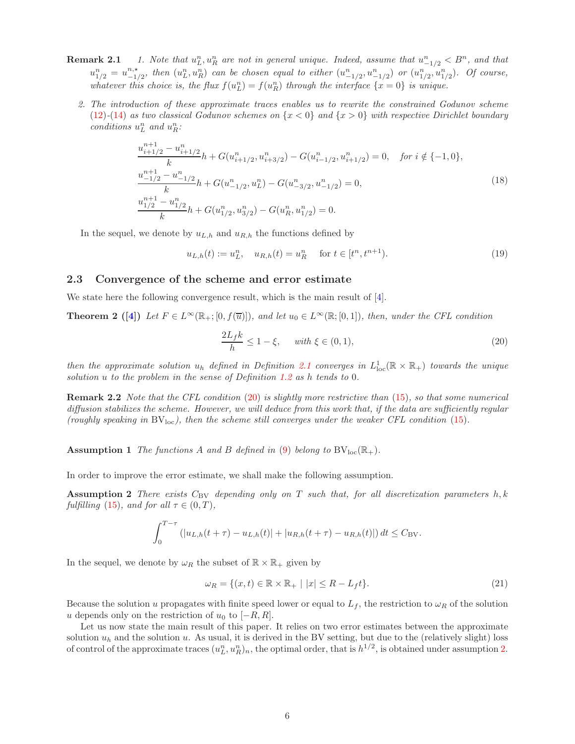- **Remark 2.1** 1. Note that  $u_L^n, u_R^n$  are not in general unique. Indeed, assume that  $u_{-1/2}^n < B^n$ , and that  $u_{1/2}^n = u_{-1}^{n,*}$  $\binom{n,*}{-1/2}$ , then  $(u_L^n, u_R^n)$  can be chosen equal to either  $(u_{-1/2}^n, u_{-1/2}^n)$  or  $(u_{1/2}^n, u_{1/2}^n)$ . Of course, whatever this choice is, the flux  $f(u_L^n) = f(u_R^n)$  through the interface  $\{x = 0\}$  is unique.
	- 2. The introduction of these approximate traces enables us to rewrite the constrained Godunov scheme  $(12)-(14)$  $(12)-(14)$  $(12)-(14)$  as two classical Godunov schemes on  $\{x < 0\}$  and  $\{x > 0\}$  with respective Dirichlet boundary conditions  $u_L^n$  and  $u_R^n$ :

<span id="page-5-4"></span>
$$
\frac{u_{i+1/2}^{n+1} - u_{i+1/2}^n}{k} h + G(u_{i+1/2}^n, u_{i+3/2}^n) - G(u_{i-1/2}^n, u_{i+1/2}^n) = 0, \quad \text{for } i \notin \{-1, 0\},
$$
\n
$$
\frac{u_{-1/2}^{n+1} - u_{-1/2}^n}{k} h + G(u_{-1/2}^n, u_L^n) - G(u_{-3/2}^n, u_{-1/2}^n) = 0,
$$
\n
$$
\frac{u_{1/2}^{n+1} - u_{1/2}^n}{k} h + G(u_{1/2}^n, u_{3/2}^n) - G(u_R^n, u_{1/2}^n) = 0.
$$
\n
$$
(18)
$$

In the sequel, we denote by  $u_{L,h}$  and  $u_{R,h}$  the functions defined by

$$
u_{L,h}(t) := u_L^n, \quad u_{R,h}(t) = u_R^n \quad \text{ for } t \in [t^n, t^{n+1}). \tag{19}
$$

#### 2.3 Convergence of the scheme and error estimate

We state here the following convergence result, which is the main result of  $[4]$ .

**Theorem 2** ([\[4\]](#page-22-2)) Let  $F \in L^{\infty}(\mathbb{R};[0, f(\overline{u})])$ , and let  $u_0 \in L^{\infty}(\mathbb{R};[0, 1])$ , then, under the CFL condition

<span id="page-5-5"></span><span id="page-5-0"></span>
$$
\frac{2L_f k}{h} \le 1 - \xi, \quad \text{with } \xi \in (0, 1), \tag{20}
$$

then the approximate solution  $u_h$  defined in Definition [2.1](#page-4-3) converges in  $L^1_{loc}(\mathbb{R} \times \mathbb{R}_+)$  towards the unique solution u to the problem in the sense of Definition [1.2](#page-1-6) as h tends to 0.

**Remark 2.2** Note that the CFL condition  $(20)$  is slightly more restrictive than  $(15)$ , so that some numerical diffusion stabilizes the scheme. However, we will deduce from this work that, if the data are sufficiently regular (roughly speaking in  $BV<sub>loc</sub>$ ), then the scheme still converges under the weaker CFL condition [\(15\)](#page-4-1).

<span id="page-5-2"></span>**Assumption 1** The functions A and B defined in [\(9\)](#page-1-5) belong to  $BV_{loc}(\mathbb{R}_+).$ 

In order to improve the error estimate, we shall make the following assumption.

**Assumption 2** There exists  $C_{\text{BV}}$  depending only on T such that, for all discretization parameters h, k fulfilling [\(15\)](#page-4-1), and for all  $\tau \in (0, T)$ ,

$$
\int_0^{T-\tau} (|u_{L,h}(t+\tau) - u_{L,h}(t)| + |u_{R,h}(t+\tau) - u_{R,h}(t)|) dt \leq C_{\text{BV}}.
$$

In the sequel, we denote by  $\omega_R$  the subset of  $\mathbb{R} \times \mathbb{R}_+$  given by

<span id="page-5-6"></span><span id="page-5-1"></span>
$$
\omega_R = \{(x, t) \in \mathbb{R} \times \mathbb{R}_+ \mid |x| \le R - L_f t\}.
$$
\n
$$
(21)
$$

Because the solution u propagates with finite speed lower or equal to  $L_f$ , the restriction to  $\omega_R$  of the solution u depends only on the restriction of  $u_0$  to  $[-R, R]$ .

<span id="page-5-3"></span>Let us now state the main result of this paper. It relies on two error estimates between the approximate solution  $u_h$  and the solution u. As usual, it is derived in the BV setting, but due to the (relatively slight) loss of control of the approximate traces  $(u_L^n, u_R^n)_n$ , the optimal order, that is  $h^{1/2}$ , is obtained under assumption [2.](#page-5-1)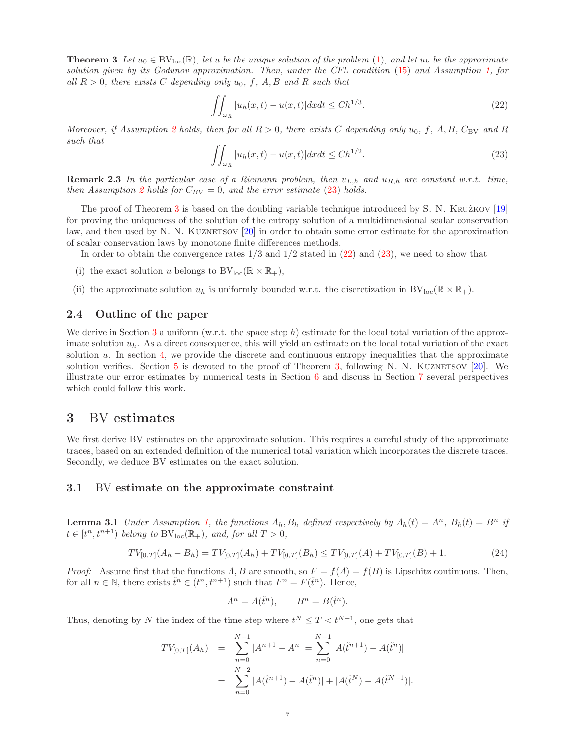**Theorem 3** Let  $u_0 \in BV_{loc}(\mathbb{R})$ , let u be the unique solution of the problem [\(1\)](#page-0-0), and let  $u_h$  be the approximate solution given by its Godunov approximation. Then, under the CFL condition [\(15\)](#page-4-1) and Assumption [1,](#page-5-2) for all  $R > 0$ , there exists C depending only  $u_0, f, A, B$  and R such that

<span id="page-6-1"></span>
$$
\iint_{\omega_R} |u_h(x,t) - u(x,t)| dx dt \le C h^{1/3}.
$$
\n(22)

Moreover, if Assumption [2](#page-5-1) holds, then for all  $R > 0$ , there exists C depending only  $u_0$ , f, A, B, C<sub>BV</sub> and R such that

<span id="page-6-0"></span>
$$
\iint_{\omega_R} |u_h(x,t) - u(x,t)| dx dt \le C h^{1/2}.
$$
\n(23)

**Remark 2.3** In the particular case of a Riemann problem, then  $u_{L,h}$  and  $u_{R,h}$  are constant w.r.t. time, then Assumption [2](#page-5-1) holds for  $C_{BV} = 0$ , and the error estimate [\(23\)](#page-6-0) holds.

The proof of Theorem [3](#page-5-3) is based on the doubling variable technique introduced by S. N. KRUŽKOV  $[19]$ for proving the uniqueness of the solution of the entropy solution of a multidimensional scalar conservation law, and then used by N. N. KUZNETSOV [\[20\]](#page-22-7) in order to obtain some error estimate for the approximation of scalar conservation laws by monotone finite differences methods.

In order to obtain the convergence rates  $1/3$  and  $1/2$  stated in  $(22)$  and  $(23)$ , we need to show that

- (i) the exact solution u belongs to  $BV_{loc}(\mathbb{R} \times \mathbb{R}_+),$
- (ii) the approximate solution  $u_h$  is uniformly bounded w.r.t. the discretization in  $BV_{loc}(\mathbb{R} \times \mathbb{R}_+)$ .

#### 2.4 Outline of the paper

We derive in Section [3](#page-6-2) a uniform (w.r.t. the space step h) estimate for the local total variation of the approximate solution  $u_h$ . As a direct consequence, this will yield an estimate on the local total variation of the exact solution  $u$ . In section [4,](#page-12-0) we provide the discrete and continuous entropy inequalities that the approximate solution verifies. Section  $5$  is devoted to the proof of Theorem [3,](#page-5-3) following N. N. KUZNETSOV  $[20]$ . We illustrate our error estimates by numerical tests in Section [6](#page-20-0) and discuss in Section [7](#page-20-1) several perspectives which could follow this work.

## <span id="page-6-2"></span>3 BV estimates

We first derive BV estimates on the approximate solution. This requires a careful study of the approximate traces, based on an extended definition of the numerical total variation which incorporates the discrete traces. Secondly, we deduce BV estimates on the exact solution.

#### <span id="page-6-4"></span>3.1 BV estimate on the approximate constraint

**Lemma 3.1** Under Assumption [1,](#page-5-2) the functions  $A_h$ ,  $B_h$  defined respectively by  $A_h(t) = A^n$ ,  $B_h(t) = B^n$  if  $t \in [t^n, t^{n+1})$  belong to  $BV_{loc}(\mathbb{R}_+),$  and, for all  $T > 0$ ,

<span id="page-6-3"></span>
$$
TV_{[0,T]}(A_h - B_h) = TV_{[0,T]}(A_h) + TV_{[0,T]}(B_h) \le TV_{[0,T]}(A) + TV_{[0,T]}(B) + 1.
$$
\n(24)

*Proof:* Assume first that the functions A, B are smooth, so  $F = f(A) = f(B)$  is Lipschitz continuous. Then, for all  $n \in \mathbb{N}$ , there exists  $\tilde{t}^n \in (t^n, t^{n+1})$  such that  $F^n = F(\tilde{t}^n)$ . Hence,

$$
A^n = A(\tilde{t}^n), \qquad B^n = B(\tilde{t}^n).
$$

Thus, denoting by N the index of the time step where  $t^N \leq T < t^{N+1}$ , one gets that

$$
TV_{[0,T]}(A_h) = \sum_{n=0}^{N-1} |A^{n+1} - A^n| = \sum_{n=0}^{N-1} |A(\tilde{t}^{n+1}) - A(\tilde{t}^n)|
$$
  
= 
$$
\sum_{n=0}^{N-2} |A(\tilde{t}^{n+1}) - A(\tilde{t}^n)| + |A(\tilde{t}^N) - A(\tilde{t}^{N-1})|.
$$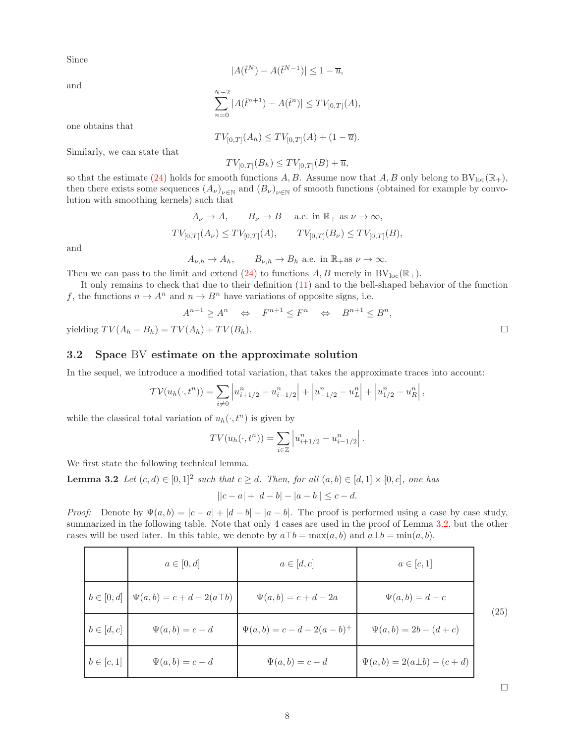Since

 $|A(\tilde{t}^N) - A(\tilde{t}^{N-1})| \leq 1 - \overline{u},$ 

and

$$
\sum_{n=0}^{N-2} |A(\tilde{t}^{n+1}) - A(\tilde{t}^n)| \le TV_{[0,T]}(A),
$$

one obtains that

$$
TV_{[0,T]}(A_h) \leq TV_{[0,T]}(A) + (1 - \overline{u}).
$$

Similarly, we can state that

 $TV_{[0,T]}(B_h) \leq TV_{[0,T]}(B) + \overline{u},$ 

so that the estimate [\(24\)](#page-6-3) holds for smooth functions A, B. Assume now that A, B only belong to  $BV_{loc}(\mathbb{R}_+)$ , then there exists some sequences  $(A_\nu)_{\nu \in \mathbb{N}}$  and  $(B_\nu)_{\nu \in \mathbb{N}}$  of smooth functions (obtained for example by convolution with smoothing kernels) such that

$$
A_{\nu} \to A, \qquad B_{\nu} \to B \quad \text{ a.e. in } \mathbb{R}_+ \text{ as } \nu \to \infty,
$$
  

$$
TV_{[0,T]}(A_{\nu}) \leq TV_{[0,T]}(A), \qquad TV_{[0,T]}(B_{\nu}) \leq TV_{[0,T]}(B),
$$

and

 $A_{\nu.h} \to A_h$ ,  $B_{\nu,h} \to B_h$  a.e. in  $\mathbb{R}_+$ as  $\nu \to \infty$ .

Then we can pass to the limit and extend [\(24\)](#page-6-3) to functions A, B merely in  $BV_{loc}(\mathbb{R}_+).$ 

It only remains to check that due to their definition [\(11\)](#page-3-3) and to the bell-shaped behavior of the function f, the functions  $n \to A^n$  and  $n \to B^n$  have variations of opposite signs, i.e.

$$
A^{n+1} \ge A^n \quad \Leftrightarrow \quad F^{n+1} \le F^n \quad \Leftrightarrow \quad B^{n+1} \le B^n,
$$
  
yielding  $TV(A_h - B_h) = TV(A_h) + TV(B_h)$ .

#### 3.2 Space BV estimate on the approximate solution

In the sequel, we introduce a modified total variation, that takes the approximate traces into account:

$$
\mathcal{TV}(u_h(\cdot, t^n)) = \sum_{i \neq 0} \left| u_{i+1/2}^n - u_{i-1/2}^n \right| + \left| u_{-1/2}^n - u_L^n \right| + \left| u_{1/2}^n - u_R^n \right|,
$$

while the classical total variation of  $u_h(\cdot, t^n)$  is given by

$$
TV(u_h(\cdot, t^n)) = \sum_{i \in \mathbb{Z}} \left| u_{i+1/2}^n - u_{i-1/2}^n \right|.
$$

We first state the following technical lemma.

**Lemma 3.2** Let  $(c,d) \in [0,1]^2$  such that  $c \geq d$ . Then, for all  $(a,b) \in [d,1] \times [0,c]$ , one has

<span id="page-7-0"></span>
$$
||c - a| + |d - b| - |a - b|| \leq c - d.
$$

*Proof:* Denote by  $\Psi(a, b) = |c - a| + |d - b| - |a - b|$ . The proof is performed using a case by case study, summarized in the following table. Note that only 4 cases are used in the proof of Lemma [3.2,](#page-7-0) but the other cases will be used later. In this table, we denote by  $a\top b = \max(a, b)$  and  $a \bot b = \min(a, b)$ .

<span id="page-7-2"></span><span id="page-7-1"></span>

|                | $a \in [0, d]$                                       | $a \in [d, c]$                     | $a \in [c,1]$                         |      |
|----------------|------------------------------------------------------|------------------------------------|---------------------------------------|------|
|                | $b \in [0, d] \mid \Psi(a, b) = c + d - 2(a \top b)$ | $\Psi(a,b) = c + d - 2a$           | $\Psi(a,b) = d - c$                   | (25) |
| $b \in [d, c]$ | $\Psi(a,b)=c-d$                                      | $\Psi(a,b) = c - d - 2(a - b)^{+}$ | $\Psi(a, b) = 2b - (d + c)$           |      |
| $b \in [c, 1]$ | $\Psi(a,b)=c-d$                                      | $\Psi(a,b)=c-d$                    | $\Psi(a, b) = 2(a \perp b) - (c + d)$ |      |

 $\Box$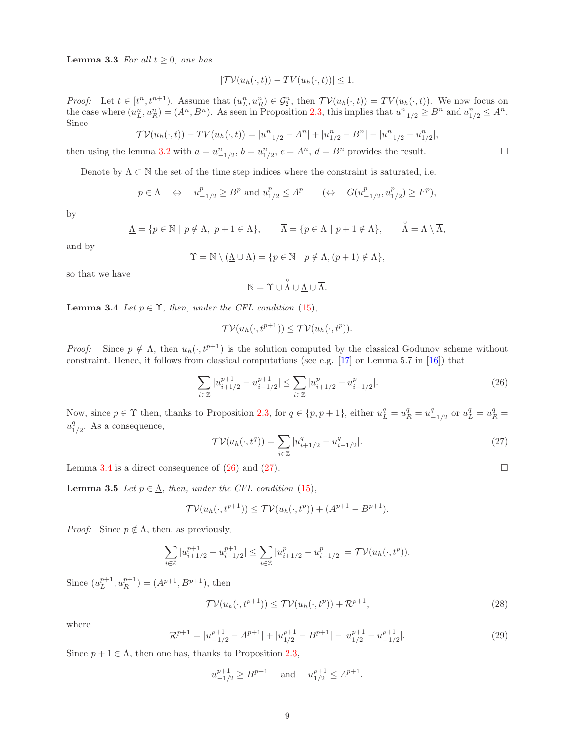**Lemma 3.3** For all  $t \geq 0$ , one has

$$
|\mathcal{TV}(u_h(\cdot,t)) - \mathcal{TV}(u_h(\cdot,t))| \leq 1.
$$

*Proof:* Let  $t \in [t^n, t^{n+1})$ . Assume that  $(u_L^n, u_R^n) \in \mathcal{G}_2^n$ , then  $\mathcal{TV}(u_h(\cdot, t)) = TV(u_h(\cdot, t))$ . We now focus on the case where  $(u_L^n, u_R^n) = (A^n, B^n)$ . As seen in Proposition [2.3,](#page-4-4) this implies that  $u_{-1/2}^n \ge B^n$  and  $u_{1/2}^n \le A^n$ . Since

$$
\mathcal{TV}(u_h(\cdot, t)) - \mathcal{TV}(u_h(\cdot, t)) = |u_{-1/2}^n - A^n| + |u_{1/2}^n - B^n| - |u_{-1/2}^n - u_{1/2}^n|,
$$

then using the lemma [3.2](#page-7-0) with  $a = u_{-1/2}^n$ ,  $b = u_{1/2}^n$ ,  $c = A^n$ ,  $d = B^n$  provides the result.

Denote by  $\Lambda \subset \mathbb{N}$  the set of the time step indices where the constraint is saturated, i.e.

$$
p \in \Lambda \quad \Leftrightarrow \quad u_{-1/2}^p \ge B^p
$$
 and  $u_{1/2}^p \le A^p$   $(\Leftrightarrow \quad G(u_{-1/2}^p, u_{1/2}^p) \ge F^p),$ 

by

$$
\underline{\Lambda} = \{ p \in \mathbb{N} \mid p \notin \Lambda, \ p + 1 \in \Lambda \}, \qquad \overline{\Lambda} = \{ p \in \Lambda \mid p + 1 \notin \Lambda \}, \qquad \widehat{\Lambda} = \Lambda \setminus \overline{\Lambda},
$$

and by

$$
\Upsilon = \mathbb{N} \setminus (\underline{\Lambda} \cup \Lambda) = \{ p \in \mathbb{N} \mid p \notin \Lambda, (p+1) \notin \Lambda \},
$$

so that we have

$$
\mathbb{N}=\Upsilon\cup\overset{\circ}{\Lambda}\cup\underline{\Lambda}\cup\overline{\Lambda}.
$$

<span id="page-8-0"></span>**Lemma 3.4** Let  $p \in \Upsilon$ , then, under the CFL condition [\(15\)](#page-4-1),

$$
\mathcal{TV}(u_h(\cdot, t^{p+1})) \le \mathcal{TV}(u_h(\cdot, t^p)).
$$

Proof: Since  $p \notin \Lambda$ , then  $u_h(\cdot, t^{p+1})$  is the solution computed by the classical Godunov scheme without constraint. Hence, it follows from classical computations (see e.g. [\[17\]](#page-22-8) or Lemma 5.7 in [\[16\]](#page-22-9)) that

<span id="page-8-1"></span>
$$
\sum_{i \in \mathbb{Z}} |u_{i+1/2}^{p+1} - u_{i-1/2}^{p+1}| \le \sum_{i \in \mathbb{Z}} |u_{i+1/2}^p - u_{i-1/2}^p|.
$$
\n(26)

Now, since  $p \in \Upsilon$  then, thanks to Proposition [2.3,](#page-4-4) for  $q \in \{p, p+1\}$ , either  $u_L^q = u_R^q = u_L^q$  $_{-1/2}^{q}$  or  $u_{L}^{q} = u_{R}^{q} =$  $u_1^q$  $_{1/2}^q$ . As a consequence,

<span id="page-8-2"></span>
$$
\mathcal{TV}(u_h(\cdot, t^q)) = \sum_{i \in \mathbb{Z}} |u^q_{i+1/2} - u^q_{i-1/2}|. \tag{27}
$$

<span id="page-8-3"></span>Lemma [3.4](#page-8-0) is a direct consequence of [\(26\)](#page-8-1) and [\(27\)](#page-8-2).

**Lemma 3.5** Let  $p \in \underline{\Lambda}$ , then, under the CFL condition [\(15\)](#page-4-1),

$$
\mathcal{TV}(u_h(\cdot, t^{p+1})) \le \mathcal{TV}(u_h(\cdot, t^p)) + (A^{p+1} - B^{p+1}).
$$

*Proof:* Since  $p \notin \Lambda$ , then, as previously,

$$
\sum_{i\in\mathbb{Z}}|u_{i+1/2}^{p+1}-u_{i-1/2}^{p+1}|\leq \sum_{i\in\mathbb{Z}}|u_{i+1/2}^{p}-u_{i-1/2}^{p}|=\mathcal{TV}(u_{h}(\cdot,t^{p})).
$$

Since  $(u_L^{p+1}, u_R^{p+1}) = (A^{p+1}, B^{p+1}),$  then

$$
\mathcal{TV}(u_h(\cdot, t^{p+1})) \le \mathcal{TV}(u_h(\cdot, t^p)) + \mathcal{R}^{p+1},\tag{28}
$$

where

$$
\mathcal{R}^{p+1} = |u_{-1/2}^{p+1} - A^{p+1}| + |u_{1/2}^{p+1} - B^{p+1}| - |u_{1/2}^{p+1} - u_{-1/2}^{p+1}|. \tag{29}
$$

Since  $p + 1 \in \Lambda$ , then one has, thanks to Proposition [2.3,](#page-4-4)

$$
u_{-1/2}^{p+1} \ge B^{p+1}
$$
 and  $u_{1/2}^{p+1} \le A^{p+1}$ .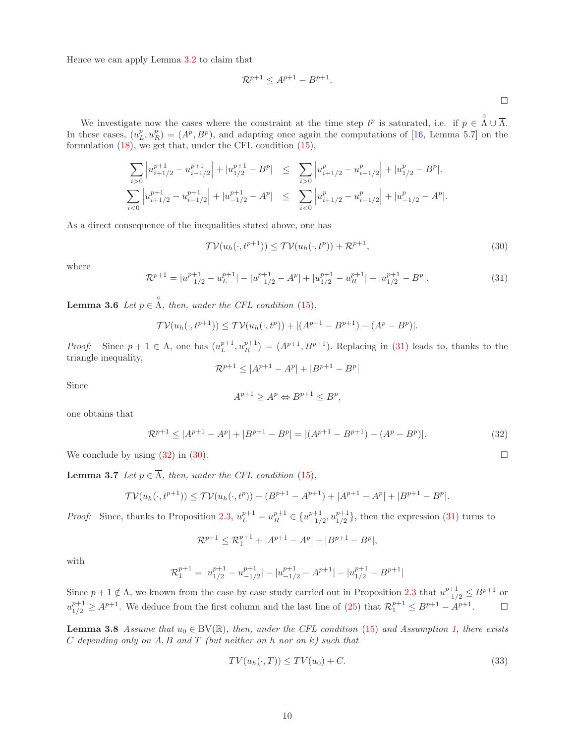Hence we can apply Lemma [3.2](#page-7-0) to claim that

$$
\mathcal{R}^{p+1} \le A^{p+1} - B^{p+1}.
$$

We investigate now the cases where the constraint at the time step  $t^p$  is saturated, i.e. if  $p \in \Lambda \cup \overline{\Lambda}$ . In these cases,  $(u_L^p, u_R^p) = (A^p, B^p)$ , and adapting once again the computations of [\[16,](#page-22-9) Lemma 5.7] on the formulation  $(18)$ , we get that, under the CFL condition  $(15)$ ,

$$
\sum_{i>0} \left| u_{i+1/2}^{p+1} - u_{i-1/2}^{p+1} \right| + |u_{1/2}^{p+1} - B^p| \le \sum_{i>0} \left| u_{i+1/2}^p - u_{i-1/2}^p \right| + |u_{1/2}^{p} - B^p|.
$$
  

$$
\sum_{i<0} \left| u_{i+1/2}^{p+1} - u_{i-1/2}^{p+1} \right| + |u_{-1/2}^{p+1} - A^p| \le \sum_{i<0} \left| u_{i+1/2}^p - u_{i-1/2}^p \right| + |u_{-1/2}^p - A^p|.
$$

As a direct consequence of the inequalities stated above, one has

<span id="page-9-2"></span>
$$
\mathcal{TV}(u_h(\cdot, t^{p+1})) \le \mathcal{TV}(u_h(\cdot, t^p)) + \mathcal{R}^{p+1},\tag{30}
$$

where

<span id="page-9-0"></span>
$$
\mathcal{R}^{p+1} = |u_{-1/2}^{p+1} - u_L^{p+1}| - |u_{-1/2}^{p+1} - A^p| + |u_{1/2}^{p+1} - u_R^{p+1}| - |u_{1/2}^{p+1} - B^p|.
$$
\n(31)

<span id="page-9-3"></span>**Lemma 3.6** Let  $p \in \Lambda$ , then, under the CFL condition [\(15\)](#page-4-1),

$$
\mathcal{TV}(u_h(\cdot, t^{p+1})) \le \mathcal{TV}(u_h(\cdot, t^p)) + |(A^{p+1} - B^{p+1}) - (A^p - B^p)|.
$$

Proof: Since  $p + 1 \in \Lambda$ , one has  $(u_L^{p+1}, u_R^{p+1}) = (A^{p+1}, B^{p+1})$ . Replacing in [\(31\)](#page-9-0) leads to, thanks to the triangle inequality,

$$
\mathcal{R}^{p+1} \le |A^{p+1} - A^p| + |B^{p+1} - B^p|
$$

Since

$$
A^{p+1} \ge A^p \Leftrightarrow B^{p+1} \le B^p,
$$

one obtains that

<span id="page-9-1"></span>
$$
\mathcal{R}^{p+1} \le |A^{p+1} - A^p| + |B^{p+1} - B^p| = |(A^{p+1} - B^{p+1}) - (A^p - B^p)|. \tag{32}
$$

<span id="page-9-4"></span>We conclude by using  $(32)$  in  $(30)$ .

**Lemma 3.7** Let  $p \in \overline{\Lambda}$ , then, under the CFL condition [\(15\)](#page-4-1),

$$
\mathcal{TV}(u_h(\cdot,t^{p+1})) \le \mathcal{TV}(u_h(\cdot,t^p)) + (B^{p+1} - A^{p+1}) + |A^{p+1} - A^p| + |B^{p+1} - B^p|.
$$

*Proof:* Since, thanks to Proposition [2.3,](#page-4-4)  $u_L^{p+1} = u_R^{p+1} \in \{u_{-1}^{p+1}\}$  $_{-1/2}^{p+1}$ ,  $u_{1/2}^{p+1}$  $\binom{p+1}{1/2}$ , then the expression  $(31)$  turns to

$$
\mathcal{R}^{p+1} \le \mathcal{R}_1^{p+1} + |A^{p+1} - A^p| + |B^{p+1} - B^p|,
$$

with

$$
\mathcal{R}_1^{p+1} = |u_{1/2}^{p+1} - u_{-1/2}^{p+1}| - |u_{-1/2}^{p+1} - A^{p+1}| - |u_{1/2}^{p+1} - B^{p+1}|
$$

Since  $p+1 \notin \Lambda$ , we known from the case by case study carried out in Proposition [2.3](#page-4-4) that  $u_{-1/2}^{p+1} \le B^{p+1}$  or  $u_{1/2}^{p+1} \geq A^{p+1}$ . We deduce from the first column and the last line of [\(25\)](#page-7-1) that  $\mathcal{R}_1^{p+1} \leq B^{p+1} - A^{p+1}$ .

<span id="page-9-5"></span>**Lemma 3.8** Assume that  $u_0 \in BV(\mathbb{R})$ , then, under the CFL condition [\(15\)](#page-4-1) and Assumption [1,](#page-5-2) there exists  $C$  depending only on  $A, B$  and  $T$  (but neither on h nor on  $k$ ) such that

$$
TV(u_h(\cdot, T)) \le TV(u_0) + C. \tag{33}
$$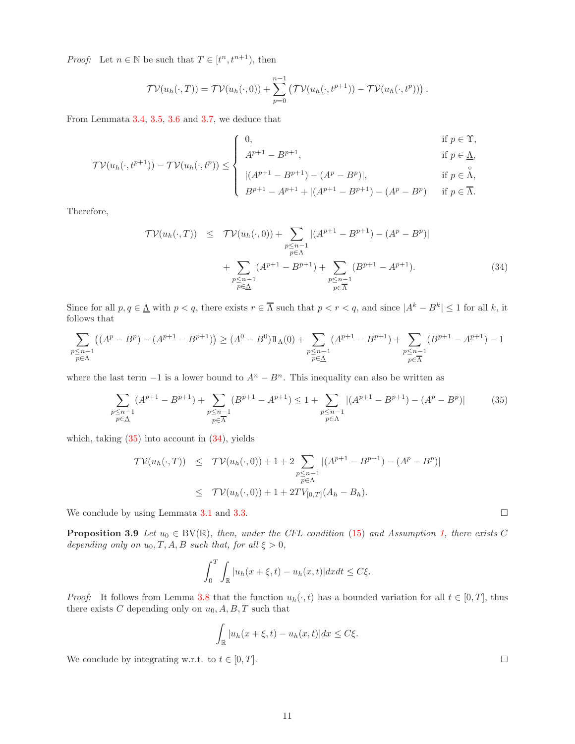*Proof:* Let  $n \in \mathbb{N}$  be such that  $T \in [t^n, t^{n+1})$ , then

$$
\mathcal{TV}(u_h(\cdot,T)) = \mathcal{TV}(u_h(\cdot,0)) + \sum_{p=0}^{n-1} \left( \mathcal{TV}(u_h(\cdot,t^{p+1})) - \mathcal{TV}(u_h(\cdot,t^p)) \right).
$$

From Lemmata [3.4,](#page-8-0) [3.5,](#page-8-3) [3.6](#page-9-3) and [3.7,](#page-9-4) we deduce that

$$
\begin{cases}\n0, & \text{if } p \in \Upsilon, \\
A^{p+1} - B^{p+1}, & \text{if } p \in \underline{\Lambda},\n\end{cases}
$$

$$
\mathcal{TV}(u_h(\cdot, t^{p+1})) - \mathcal{TV}(u_h(\cdot, t^p)) \le \begin{cases} |(A^{p+1} - B^{p+1}) - (A^p - B^p)|, & \text{if } p \in \Lambda, \\ |(A^{p+1} - B^{p+1}) - (A^p - B^p)|, & \text{if } p \in \overline{\Lambda}. \end{cases}
$$

$$
B^{p+1} - A^{p+1} + |(A^{p+1} - B^{p+1}) - (A^p - B^p)| \text{ if } p \in \overline{\Lambda}.
$$

Therefore,

<span id="page-10-1"></span>
$$
\mathcal{TV}(u_h(\cdot, T)) \leq \mathcal{TV}(u_h(\cdot, 0)) + \sum_{\substack{p \leq n-1 \\ p \in \Lambda}} |(A^{p+1} - B^{p+1}) - (A^p - B^p)|
$$
  
+ 
$$
\sum_{\substack{p \leq n-1 \\ p \in \Lambda}} (A^{p+1} - B^{p+1}) + \sum_{\substack{p \leq n-1 \\ p \in \Lambda}} (B^{p+1} - A^{p+1}). \tag{34}
$$

Since for all  $p, q \in \underline{\Lambda}$  with  $p < q$ , there exists  $r \in \overline{\Lambda}$  such that  $p < r < q$ , and since  $|A^k - B^k| \le 1$  for all k, it follows that

$$
\sum_{\substack{p \leq n-1 \\ p \in \Lambda}} \left( (A^p - B^p) - (A^{p+1} - B^{p+1}) \right) \geq (A^0 - B^0) 1\!\!1_\Lambda(0) + \sum_{\substack{p \leq n-1 \\ p \in \underline{\Lambda}}} (A^{p+1} - B^{p+1}) + \sum_{\substack{p \leq n-1 \\ p \in \overline{\Lambda}}} (B^{p+1} - A^{p+1}) - 1
$$

where the last term  $-1$  is a lower bound to  $A<sup>n</sup> - B<sup>n</sup>$ . This inequality can also be written as

<span id="page-10-0"></span>
$$
\sum_{\substack{p \le n-1 \\ p \in \Delta}} (A^{p+1} - B^{p+1}) + \sum_{\substack{p \le n-1 \\ p \in \overline{\Lambda}}} (B^{p+1} - A^{p+1}) \le 1 + \sum_{\substack{p \le n-1 \\ p \in \Lambda}} |(A^{p+1} - B^{p+1}) - (A^p - B^p)| \tag{35}
$$

which, taking  $(35)$  into account in  $(34)$ , yields

$$
\mathcal{TV}(u_h(\cdot, T)) \leq \mathcal{TV}(u_h(\cdot, 0)) + 1 + 2 \sum_{\substack{p \leq n-1 \\ p \in \Lambda}} |(A^{p+1} - B^{p+1}) - (A^p - B^p)|
$$
  

$$
\leq \mathcal{TV}(u_h(\cdot, 0)) + 1 + 2TV_{[0, T]}(A_h - B_h).
$$

<span id="page-10-2"></span>We conclude by using Lemmata [3.1](#page-6-4) and [3.3.](#page-7-2)  $\Box$ 

**Proposition 3.9** Let  $u_0 \in BV(\mathbb{R})$ , then, under the CFL condition [\(15\)](#page-4-1) and Assumption [1,](#page-5-2) there exists C depending only on  $u_0, T, A, B$  such that, for all  $\xi > 0$ ,

$$
\int_0^T \int_{\mathbb{R}} |u_h(x+\xi,t) - u_h(x,t)| dx dt \le C\xi.
$$

*Proof:* It follows from Lemma [3.8](#page-9-5) that the function  $u_h(\cdot, t)$  has a bounded variation for all  $t \in [0, T]$ , thus there exists C depending only on  $u_0$ , A, B, T such that

$$
\int_{\mathbb{R}} |u_h(x+\xi, t) - u_h(x,t)| dx \le C\xi.
$$

We conclude by integrating w.r.t. to  $t \in [0, T]$ .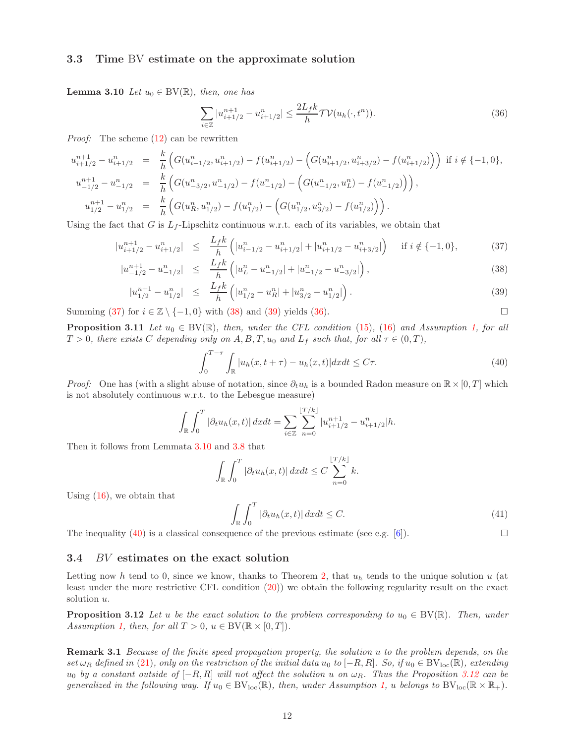#### <span id="page-11-2"></span>3.3 Time BV estimate on the approximate solution

**Lemma 3.10** Let  $u_0 \in BV(\mathbb{R})$ , then, one has

<span id="page-11-1"></span>
$$
\sum_{i \in \mathbb{Z}} |u_{i+1/2}^{n+1} - u_{i+1/2}^n| \le \frac{2L_f k}{h} \mathcal{TV}(u_h(\cdot, t^n)).
$$
\n(36)

Proof: The scheme [\(12\)](#page-3-2) can be rewritten

$$
u_{i+1/2}^{n+1} - u_{i+1/2}^{n} = \frac{k}{h} \Big( G(u_{i-1/2}^{n}, u_{i+1/2}^{n}) - f(u_{i+1/2}^{n}) - \Big( G(u_{i+1/2}^{n}, u_{i+3/2}^{n}) - f(u_{i+1/2}^{n}) \Big) \Big) \text{ if } i \notin \{-1, 0\},
$$
  
\n
$$
u_{-1/2}^{n+1} - u_{-1/2}^{n} = \frac{k}{h} \Big( G(u_{-3/2}^{n}, u_{-1/2}^{n}) - f(u_{-1/2}^{n}) - \Big( G(u_{-1/2}^{n}, u_{L}^{n}) - f(u_{-1/2}^{n}) \Big) \Big),
$$
  
\n
$$
u_{1/2}^{n+1} - u_{1/2}^{n} = \frac{k}{h} \Big( G(u_{R}^{n}, u_{1/2}^{n}) - f(u_{1/2}^{n}) - \Big( G(u_{1/2}^{n}, u_{3/2}^{n}) - f(u_{1/2}^{n}) \Big) \Big).
$$

Using the fact that G is  $L_f$ -Lipschitz continuous w.r.t. each of its variables, we obtain that

<span id="page-11-0"></span>
$$
|u_{i+1/2}^{n+1} - u_{i+1/2}^n| \le \frac{L_f k}{h} \left( |u_{i-1/2}^n - u_{i+1/2}^n| + |u_{i+1/2}^n - u_{i+3/2}^n| \right) \quad \text{if } i \notin \{-1, 0\},\tag{37}
$$

$$
|u_{-1/2}^{n+1} - u_{-1/2}^n| \le \frac{L_f k}{h} \left( |u_L^n - u_{-1/2}^n| + |u_{-1/2}^n - u_{-3/2}^n| \right), \tag{38}
$$

$$
|u_{1/2}^{n+1} - u_{1/2}^n| \le \frac{L_f k}{h} \left( |u_{1/2}^n - u_R^n| + |u_{3/2}^n - u_{1/2}^n| \right). \tag{39}
$$

<span id="page-11-5"></span>Summing [\(37\)](#page-11-0) for  $i \in \mathbb{Z} \setminus \{-1, 0\}$  with [\(38\)](#page-11-0) and [\(39\)](#page-11-0) yields [\(36\)](#page-11-1).

**Proposition 3.11** Let  $u_0 \in BV(\mathbb{R})$ , then, under the CFL condition [\(15\)](#page-4-1), [\(16\)](#page-4-5) and Assumption [1,](#page-5-2) for all  $T > 0$ , there exists C depending only on A, B, T,  $u_0$  and  $L_f$  such that, for all  $\tau \in (0, T)$ ,

<span id="page-11-3"></span>
$$
\int_0^{T-\tau} \int_{\mathbb{R}} |u_h(x, t+\tau) - u_h(x, t)| dx dt \le C\tau.
$$
 (40)

*Proof:* One has (with a slight abuse of notation, since  $\partial_t u_h$  is a bounded Radon measure on  $\mathbb{R} \times [0, T]$  which is not absolutely continuous w.r.t. to the Lebesgue measure)

$$
\int_{\mathbb{R}} \int_0^T |\partial_t u_h(x, t)| \, dx dt = \sum_{i \in \mathbb{Z}} \sum_{n=0}^{\lfloor T/k \rfloor} |u_{i+1/2}^{n+1} - u_{i+1/2}^n| h.
$$

Then it follows from Lemmata [3.10](#page-11-2) and [3.8](#page-9-5) that

$$
\int_{\mathbb{R}} \int_0^T |\partial_t u_h(x,t)| \, dx dt \leq C \sum_{n=0}^{\lfloor T/k \rfloor} k.
$$

Using  $(16)$ , we obtain that

$$
\int_{\mathbb{R}} \int_0^T |\partial_t u_h(x, t)| \, dx dt \le C. \tag{41}
$$

The inequality [\(40\)](#page-11-3) is a classical consequence of the previous estimate (see e.g. [\[6\]](#page-22-10)).

## 3.4 BV estimates on the exact solution

Letting now h tend to 0, since we know, thanks to Theorem [2,](#page-5-5) that  $u<sub>h</sub>$  tends to the unique solution u (at least under the more restrictive CFL condition [\(20\)](#page-5-0)) we obtain the following regularity result on the exact solution  $u$ .

<span id="page-11-4"></span>**Proposition 3.12** Let u be the exact solution to the problem corresponding to  $u_0 \in BV(\mathbb{R})$ . Then, under Assumption [1,](#page-5-2) then, for all  $T > 0$ ,  $u \in BV(\mathbb{R} \times [0, T])$ .

**Remark 3.1** Because of the finite speed propagation property, the solution u to the problem depends, on the set  $\omega_R$  defined in [\(21\)](#page-5-6), only on the restriction of the initial data  $u_0$  to  $[-R, R]$ . So, if  $u_0 \in BV_{loc}(\mathbb{R})$ , extending u<sub>0</sub> by a constant outside of  $[-R, R]$  will not affect the solution u on  $\omega_R$ . Thus the Proposition [3.12](#page-11-4) can be generalized in the following way. If  $u_0 \in BV_{loc}(\mathbb{R})$ , then, under Assumption [1,](#page-5-2) u belongs to  $BV_{loc}(\mathbb{R} \times \mathbb{R}_+)$ .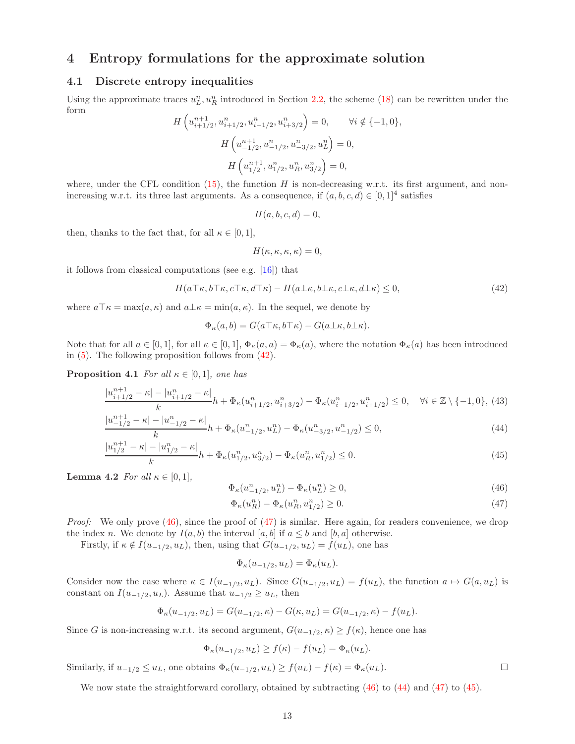## <span id="page-12-0"></span>4 Entropy formulations for the approximate solution

## 4.1 Discrete entropy inequalities

Using the approximate traces  $u_L^n, u_R^n$  introduced in Section [2.2,](#page-4-6) the scheme [\(18\)](#page-5-4) can be rewritten under the form

$$
H\left(u_{i+1/2}^{n+1}, u_{i+1/2}^n, u_{i-1/2}^n, u_{i+3/2}^n\right) = 0, \qquad \forall i \notin \{-1, 0\},
$$
  

$$
H\left(u_{-1/2}^{n+1}, u_{-1/2}^n, u_{-3/2}^n, u_L^n\right) = 0,
$$
  

$$
H\left(u_{1/2}^{n+1}, u_{1/2}^n, u_R^n, u_{3/2}^n\right) = 0,
$$

where, under the CFL condition [\(15\)](#page-4-1), the function  $H$  is non-decreasing w.r.t. its first argument, and nonincreasing w.r.t. its three last arguments. As a consequence, if  $(a, b, c, d) \in [0, 1]^4$  satisfies

$$
H(a, b, c, d) = 0,
$$

then, thanks to the fact that, for all  $\kappa \in [0,1],$ 

$$
H(\kappa, \kappa, \kappa, \kappa) = 0,
$$

it follows from classical computations (see e.g. [\[16\]](#page-22-9)) that

<span id="page-12-1"></span>
$$
H(a\top\kappa, b\top\kappa, c\top\kappa, d\top\kappa) - H(a\bot\kappa, b\bot\kappa, c\bot\kappa, d\bot\kappa) \le 0,
$$
\n
$$
(42)
$$

where  $a\mathcal{T}\kappa = \max(a,\kappa)$  and  $a\mathcal{L}\kappa = \min(a,\kappa)$ . In the sequel, we denote by

$$
\Phi_{\kappa}(a,b) = G(a\top\kappa, b\top\kappa) - G(a\bot\kappa, b\bot\kappa).
$$

Note that for all  $a \in [0,1]$ , for all  $\kappa \in [0,1]$ ,  $\Phi_{\kappa}(a,a) = \Phi_{\kappa}(a)$ , where the notation  $\Phi_{\kappa}(a)$  has been introduced in [\(5\)](#page-1-7). The following proposition follows from [\(42\)](#page-12-1).

**Proposition 4.1** For all  $\kappa \in [0,1]$ , one has

<span id="page-12-4"></span>
$$
\frac{|u_{i+1/2}^{n+1} - \kappa| - |u_{i+1/2}^n - \kappa|}{k} h + \Phi_{\kappa}(u_{i+1/2}^n, u_{i+3/2}^n) - \Phi_{\kappa}(u_{i-1/2}^n, u_{i+1/2}^n) \le 0, \quad \forall i \in \mathbb{Z} \setminus \{-1, 0\},
$$
(43)

$$
\frac{|u_{-1/2}^{n+1} - \kappa| - |u_{-1/2}^n - \kappa|}{k} h + \Phi_{\kappa}(u_{-1/2}^n, u_L^n) - \Phi_{\kappa}(u_{-3/2}^n, u_{-1/2}^n) \le 0,
$$
\n(44)

$$
\frac{|u_{1/2}^{n+1} - \kappa| - |u_{1/2}^n - \kappa|}{k} h + \Phi_{\kappa}(u_{1/2}^n, u_{3/2}^n) - \Phi_{\kappa}(u_R^n, u_{1/2}^n) \le 0.
$$
\n(45)

**Lemma 4.2** For all  $\kappa \in [0,1]$ ,

<span id="page-12-2"></span>
$$
\Phi_{\kappa}(u_{-1/2}^n, u_L^n) - \Phi_{\kappa}(u_L^n) \ge 0,
$$
\n(46)

<span id="page-12-3"></span>
$$
\Phi_{\kappa}(u_R^n) - \Phi_{\kappa}(u_R^n, u_{1/2}^n) \ge 0.
$$
\n(47)

*Proof:* We only prove  $(46)$ , since the proof of  $(47)$  is similar. Here again, for readers convenience, we drop the index n. We denote by  $I(a, b)$  the interval [a, b] if  $a \leq b$  and [b, a] otherwise.

Firstly, if  $\kappa \notin I(u_{-1/2}, u_L)$ , then, using that  $G(u_{-1/2}, u_L) = f(u_L)$ , one has

$$
\Phi_{\kappa}(u_{-1/2}, u_L) = \Phi_{\kappa}(u_L).
$$

Consider now the case where  $\kappa \in I(u_{-1/2}, u_L)$ . Since  $G(u_{-1/2}, u_L) = f(u_L)$ , the function  $a \mapsto G(a, u_L)$  is constant on  $I(u_{-1/2}, u_L)$ . Assume that  $u_{-1/2} \geq u_L$ , then

$$
\Phi_{\kappa}(u_{-1/2}, u_L) = G(u_{-1/2}, \kappa) - G(\kappa, u_L) = G(u_{-1/2}, \kappa) - f(u_L).
$$

Since G is non-increasing w.r.t. its second argument,  $G(u_{-1/2}, \kappa) \geq f(\kappa)$ , hence one has

$$
\Phi_{\kappa}(u_{-1/2}, u_L) \ge f(\kappa) - f(u_L) = \Phi_{\kappa}(u_L).
$$

Similarly, if  $u_{-1/2} \leq u_L$ , one obtains  $\Phi_{\kappa}(u_{-1/2}, u_L) \geq f(u_L) - f(\kappa) = \Phi_{\kappa}(u_L)$ .

We now state the straightforward corollary, obtained by subtracting [\(46\)](#page-12-2) to [\(44\)](#page-12-4) and [\(47\)](#page-12-3) to [\(45\)](#page-12-4).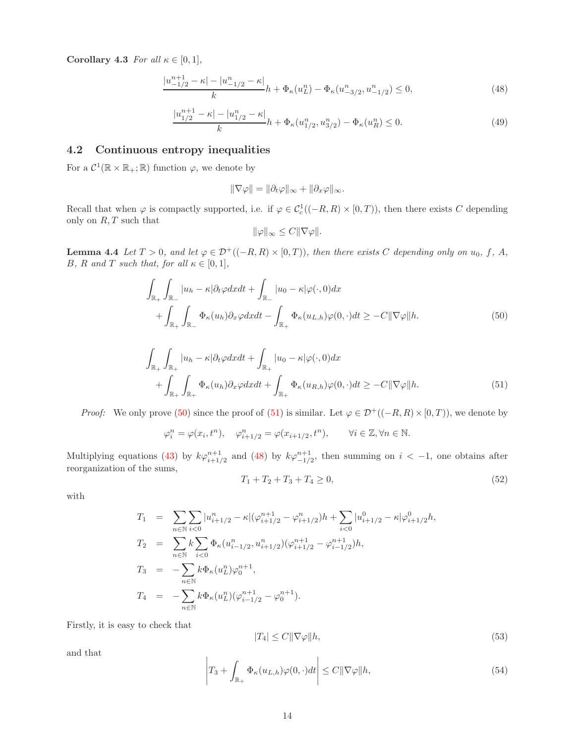Corollary 4.3 For all  $\kappa \in [0,1]$ ,

<span id="page-13-2"></span>
$$
\frac{|u_{-1/2}^{n+1} - \kappa| - |u_{-1/2}^n - \kappa|}{k} h + \Phi_{\kappa}(u_L^n) - \Phi_{\kappa}(u_{-3/2}^n, u_{-1/2}^n) \le 0,
$$
\n(48)

$$
\frac{|u_{1/2}^{n+1} - \kappa| - |u_{1/2}^n - \kappa|}{k} h + \Phi_{\kappa}(u_{1/2}^n, u_{3/2}^n) - \Phi_{\kappa}(u_R^n) \le 0.
$$
\n(49)

## 4.2 Continuous entropy inequalities

For a  $\mathcal{C}^1(\mathbb{R} \times \mathbb{R}_+; \mathbb{R})$  function  $\varphi$ , we denote by

$$
\|\nabla \varphi\| = \|\partial_t \varphi\|_\infty + \|\partial_x \varphi\|_\infty.
$$

Recall that when  $\varphi$  is compactly supported, i.e. if  $\varphi \in C_c^1((-R, R) \times [0, T))$ , then there exists C depending only on  $R, T$  such that

$$
\|\varphi\|_{\infty} \leq C\|\nabla\varphi\|.
$$

<span id="page-13-4"></span>**Lemma 4.4** Let  $T > 0$ , and let  $\varphi \in \mathcal{D}^+((-R, R) \times [0, T))$ , then there exists C depending only on  $u_0, f, A$ , B, R and T such that, for all  $\kappa \in [0,1]$ ,

<span id="page-13-0"></span>
$$
\int_{\mathbb{R}_{+}} \int_{\mathbb{R}_{-}} |u_{h} - \kappa| \partial_{t} \varphi dx dt + \int_{\mathbb{R}_{-}} |u_{0} - \kappa| \varphi(\cdot, 0) dx \n+ \int_{\mathbb{R}_{+}} \int_{\mathbb{R}_{-}} \Phi_{\kappa}(u_{h}) \partial_{x} \varphi dx dt - \int_{\mathbb{R}_{+}} \Phi_{\kappa}(u_{L, h}) \varphi(0, \cdot) dt \geq -C ||\nabla \varphi|| h.
$$
\n(50)

<span id="page-13-1"></span>
$$
\int_{\mathbb{R}_+} \int_{\mathbb{R}_+} |u_h - \kappa| \partial_t \varphi dx dt + \int_{\mathbb{R}_+} |u_0 - \kappa| \varphi(\cdot, 0) dx \n+ \int_{\mathbb{R}_+} \int_{\mathbb{R}_+} \Phi_\kappa(u_h) \partial_x \varphi dx dt + \int_{\mathbb{R}_+} \Phi_\kappa(u_{R,h}) \varphi(0, \cdot) dt \ge -C \| \nabla \varphi \| h.
$$
\n(51)

*Proof:* We only prove [\(50\)](#page-13-0) since the proof of [\(51\)](#page-13-1) is similar. Let  $\varphi \in \mathcal{D}^+((-R,R) \times [0,T))$ , we denote by

$$
\varphi_i^n = \varphi(x_i, t^n), \quad \varphi_{i+1/2}^n = \varphi(x_{i+1/2}, t^n), \qquad \forall i \in \mathbb{Z}, \forall n \in \mathbb{N}.
$$

Multiplying equations [\(43\)](#page-12-4) by  $k\varphi_{i+1/2}^{n+1}$  and [\(48\)](#page-13-2) by  $k\varphi_{-1/2}^{n+1}$ , then summing on  $i < -1$ , one obtains after reorganization of the sums,

<span id="page-13-3"></span>
$$
T_1 + T_2 + T_3 + T_4 \ge 0,\t\t(52)
$$

with

$$
T_1 = \sum_{n \in \mathbb{N}} \sum_{i < 0} |u_{i+1/2}^n - \kappa| (\varphi_{i+1/2}^{n+1} - \varphi_{i+1/2}^n) h + \sum_{i < 0} |u_{i+1/2}^0 - \kappa| \varphi_{i+1/2}^0 h,
$$
\n
$$
T_2 = \sum_{n \in \mathbb{N}} k \sum_{i < 0} \Phi_{\kappa} (u_{i-1/2}^n, u_{i+1/2}^n) (\varphi_{i+1/2}^{n+1} - \varphi_{i-1/2}^{n+1}) h,
$$
\n
$$
T_3 = - \sum_{n \in \mathbb{N}} k \Phi_{\kappa} (u_L^n) \varphi_0^{n+1},
$$
\n
$$
T_4 = - \sum_{n \in \mathbb{N}} k \Phi_{\kappa} (u_L^n) (\varphi_{i-1/2}^{n+1} - \varphi_0^{n+1}).
$$

Firstly, it is easy to check that

$$
|T_4| \le C \|\nabla \varphi\| h,\tag{53}
$$

and that

$$
\left| T_3 + \int_{\mathbb{R}_+} \Phi_\kappa(u_{L,h}) \varphi(0,\cdot) dt \right| \le C \| \nabla \varphi \| h,\tag{54}
$$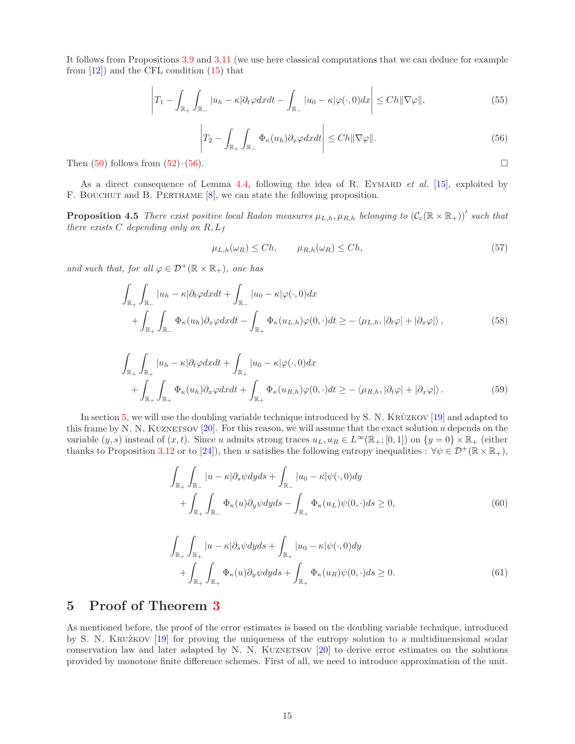It follows from Propositions [3.9](#page-10-2) and [3.11](#page-11-5) (we use here classical computations that we can deduce for example from  $[12]$ ) and the CFL condition  $(15)$  that

$$
\left|T_1 - \int_{\mathbb{R}_+} \int_{\mathbb{R}_-} |u_h - \kappa| \partial_t \varphi dx dt - \int_{\mathbb{R}_-} |u_0 - \kappa| \varphi(\cdot, 0) dx \right| \le C h \|\nabla \varphi\|,
$$
\n(55)

<span id="page-14-1"></span>
$$
\left|T_2 - \int_{\mathbb{R}_+} \int_{\mathbb{R}_-} \Phi_\kappa(u_h) \partial_x \varphi dx dt\right| \leq C h \|\nabla \varphi\|.
$$
\n(56)

Then  $(50)$  follows from  $(52)$ – $(56)$ .

As a direct consequence of Lemma [4.4,](#page-13-4) following the idea of R. EYMARD *et al.* [\[15\]](#page-22-12), exploited by F. BOUCHUT and B. PERTHAME  $[8]$ , we can state the following proposition.

**Proposition 4.5** There exist positive local Radon measures  $\mu_{L,h}, \mu_{R,h}$  belonging to  $(C_c(\mathbb{R} \times \mathbb{R}_+))'$  such that there exists C depending only on  $R, L_f$ 

<span id="page-14-4"></span>
$$
\mu_{L,h}(\omega_R) \le Ch, \qquad \mu_{R,h}(\omega_R) \le Ch,\tag{57}
$$

and such that, for all  $\varphi \in \mathcal{D}^+(\mathbb{R} \times \mathbb{R}_+)$ , one has

<span id="page-14-2"></span>
$$
\int_{\mathbb{R}_{+}} \int_{\mathbb{R}_{-}} |u_{h} - \kappa| \partial_{t} \varphi dx dt + \int_{\mathbb{R}_{-}} |u_{0} - \kappa| \varphi(\cdot, 0) dx \n+ \int_{\mathbb{R}_{+}} \int_{\mathbb{R}_{-}} \Phi_{\kappa}(u_{h}) \partial_{x} \varphi dx dt - \int_{\mathbb{R}_{+}} \Phi_{\kappa}(u_{L, h}) \varphi(0, \cdot) dt \ge - \langle \mu_{L, h}, |\partial_{t} \varphi| + |\partial_{x} \varphi| \rangle,
$$
\n(58)

$$
\int_{\mathbb{R}_{+}} \int_{\mathbb{R}_{+}} |u_{h} - \kappa| \partial_{t} \varphi dx dt + \int_{\mathbb{R}_{+}} |u_{0} - \kappa| \varphi(\cdot, 0) dx \n+ \int_{\mathbb{R}_{+}} \int_{\mathbb{R}_{+}} \Phi_{\kappa}(u_{h}) \partial_{x} \varphi dx dt + \int_{\mathbb{R}_{+}} \Phi_{\kappa}(u_{R,h}) \varphi(0, \cdot) dt \geq - \langle \mu_{R,h}, |\partial_{t} \varphi| + |\partial_{x} \varphi| \rangle.
$$
\n(59)

In section [5,](#page-14-0) we will use the doubling variable technique introduced by S. N. KRUZKOV [\[19\]](#page-22-1) and adapted to this frame by N. N. KUZNETSOV  $[20]$ . For this reason, we will assume that the exact solution u depends on the variable  $(y, s)$  instead of  $(x, t)$ . Since u admits strong traces  $u_L, u_R \in L^{\infty}(\mathbb{R}_+; [0, 1])$  on  $\{y = 0\} \times \mathbb{R}_+$  (either thanks to Proposition [3.12](#page-11-4) or to [\[24\]](#page-23-4)), then u satisfies the following entropy inequalities :  $\forall \psi \in \mathcal{D}^+(\mathbb{R} \times \mathbb{R}_+),$ 

<span id="page-14-3"></span>
$$
\int_{\mathbb{R}_{+}} \int_{\mathbb{R}_{-}} |u - \kappa| \partial_{s} \psi dy ds + \int_{\mathbb{R}_{-}} |u_{0} - \kappa| \psi(\cdot, 0) dy \n+ \int_{\mathbb{R}_{+}} \int_{\mathbb{R}_{-}} \Phi_{\kappa}(u) \partial_{y} \psi dy ds - \int_{\mathbb{R}_{+}} \Phi_{\kappa}(u_{L}) \psi(0, \cdot) ds \ge 0,
$$
\n(60)

$$
\int_{\mathbb{R}_{+}} \int_{\mathbb{R}_{+}} |u - \kappa| \partial_{s} \psi dy ds + \int_{\mathbb{R}_{+}} |u_{0} - \kappa| \psi(\cdot, 0) dy \n+ \int_{\mathbb{R}_{+}} \int_{\mathbb{R}_{+}} \Phi_{\kappa}(u) \partial_{y} \psi dy ds + \int_{\mathbb{R}_{+}} \Phi_{\kappa}(u_{R}) \psi(0, \cdot) ds \ge 0.
$$
\n(61)

## <span id="page-14-0"></span>5 Proof of Theorem [3](#page-5-3)

As mentioned before, the proof of the error estimates is based on the doubling variable technique, introduced by S. N. KRUŽKOV [\[19\]](#page-22-1) for proving the uniqueness of the entropy solution to a multidimensional scalar conservation law and later adapted by N. N. KUZNETSOV [\[20\]](#page-22-7) to derive error estimates on the solutions provided by monotone finite difference schemes. First of all, we need to introduce approximation of the unit.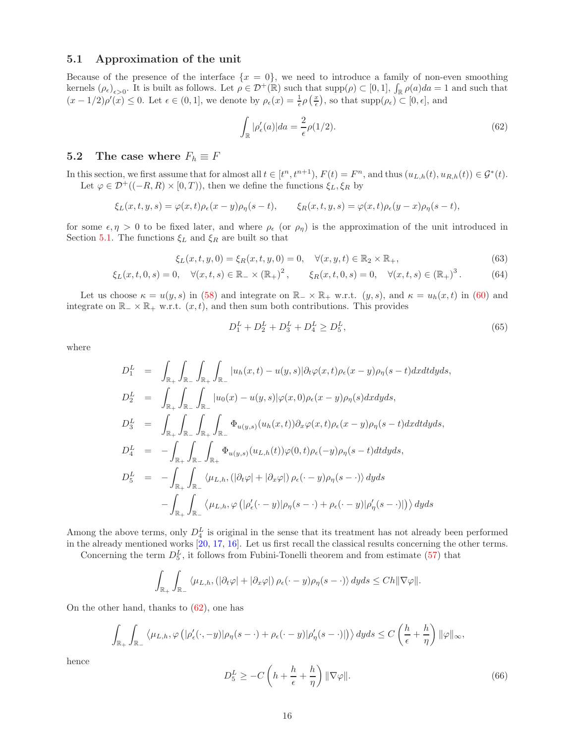#### <span id="page-15-0"></span>5.1 Approximation of the unit

Because of the presence of the interface  $\{x = 0\}$ , we need to introduce a family of non-even smoothing kernels  $(\rho_{\epsilon})_{\epsilon>0}$ . It is built as follows. Let  $\rho \in \mathcal{D}^+(\mathbb{R})$  such that  $\text{supp}(\rho) \subset [0,1]$ ,  $\int_{\mathbb{R}} \rho(a)da = 1$  and such that  $(x-1/2)\rho'(x) \leq 0$ . Let  $\epsilon \in (0,1]$ , we denote by  $\rho_{\epsilon}(x) = \frac{1}{\epsilon}\rho\left(\frac{x}{\epsilon}\right)$ , so that  $\text{supp}(\rho_{\epsilon}) \subset [0,\epsilon]$ , and

<span id="page-15-1"></span>
$$
\int_{\mathbb{R}} |\rho_{\epsilon}'(a)| da = \frac{2}{\epsilon} \rho(1/2). \tag{62}
$$

## 5.2 The case where  $F_h \equiv F$

In this section, we first assume that for almost all  $t \in [t^n, t^{n+1}), F(t) = F^n$ , and thus  $(u_{L,h}(t), u_{R,h}(t)) \in \mathcal{G}^*(t)$ . Let  $\varphi \in \mathcal{D}^+((-R, R) \times [0, T))$ , then we define the functions  $\xi_L, \xi_R$  by

$$
\xi_L(x,t,y,s) = \varphi(x,t)\rho_{\epsilon}(x-y)\rho_{\eta}(s-t), \qquad \xi_R(x,t,y,s) = \varphi(x,t)\rho_{\epsilon}(y-x)\rho_{\eta}(s-t),
$$

for some  $\epsilon, \eta > 0$  to be fixed later, and where  $\rho_{\epsilon}$  (or  $\rho_{\eta}$ ) is the approximation of the unit introduced in Section [5.1.](#page-15-0) The functions  $\xi_L$  and  $\xi_R$  are built so that

$$
\xi_L(x, t, y, 0) = \xi_R(x, t, y, 0) = 0, \quad \forall (x, y, t) \in \mathbb{R}_2 \times \mathbb{R}_+, \tag{63}
$$

$$
\xi_L(x,t,0,s) = 0, \quad \forall (x,t,s) \in \mathbb{R}_- \times (\mathbb{R}_+)^2, \qquad \xi_R(x,t,0,s) = 0, \quad \forall (x,t,s) \in (\mathbb{R}_+)^3.
$$
 (64)

Let us choose  $\kappa = u(y, s)$  in [\(58\)](#page-14-2) and integrate on  $\mathbb{R}_{-} \times \mathbb{R}_{+}$  w.r.t.  $(y, s)$ , and  $\kappa = u_h(x, t)$  in [\(60\)](#page-14-3) and integrate on  $\mathbb{R}_+ \times \mathbb{R}_+$  w.r.t.  $(x, t)$ , and then sum both contributions. This provides

<span id="page-15-2"></span>
$$
D_1^L + D_2^L + D_3^L + D_4^L \ge D_5^L,\tag{65}
$$

where

$$
D_1^L = \int_{\mathbb{R}_+} \int_{\mathbb{R}_-} \int_{\mathbb{R}_+} \int_{\mathbb{R}_-} |u_h(x,t) - u(y,s)| \partial_t \varphi(x,t) \rho_{\epsilon}(x-y) \rho_{\eta}(s-t) dx dt dy ds,
$$
  
\n
$$
D_2^L = \int_{\mathbb{R}_+} \int_{\mathbb{R}_-} \int_{\mathbb{R}_-} |u_0(x) - u(y,s)| \varphi(x,0) \rho_{\epsilon}(x-y) \rho_{\eta}(s) dx dy ds,
$$
  
\n
$$
D_3^L = \int_{\mathbb{R}_+} \int_{\mathbb{R}_-} \int_{\mathbb{R}_+} \int_{\mathbb{R}_-} \Phi_{u(y,s)}(u_h(x,t)) \partial_x \varphi(x,t) \rho_{\epsilon}(x-y) \rho_{\eta}(s-t) dx dt dy ds,
$$
  
\n
$$
D_4^L = - \int_{\mathbb{R}_+} \int_{\mathbb{R}_-} \int_{\mathbb{R}_+} \Phi_{u(y,s)}(u_{L,h}(t)) \varphi(0,t) \rho_{\epsilon}(-y) \rho_{\eta}(s-t) dt dy ds,
$$
  
\n
$$
D_5^L = - \int_{\mathbb{R}_+} \int_{\mathbb{R}_-} \langle \mu_{L,h}, (|\partial_t \varphi| + |\partial_x \varphi|) \rho_{\epsilon}(\cdot-y) \rho_{\eta}(s-\cdot) \rangle dy ds
$$
  
\n
$$
- \int_{\mathbb{R}_+} \int_{\mathbb{R}_-} \langle \mu_{L,h}, \varphi(|\rho_{\epsilon}'(\cdot-y)| \rho_{\eta}(s-\cdot) + \rho_{\epsilon}(\cdot-y)| \rho_{\eta}'(s-\cdot)| \rangle \rangle dy ds
$$

Among the above terms, only  $D_4^L$  is original in the sense that its treatment has not already been performed in the already mentioned works [\[20,](#page-22-7) [17,](#page-22-8) [16\]](#page-22-9). Let us first recall the classical results concerning the other terms.

Concerning the term  $D_5^L$ , it follows from Fubini-Tonelli theorem and from estimate [\(57\)](#page-14-4) that

$$
\int_{\mathbb{R}_+} \int_{\mathbb{R}_-} \langle \mu_{L,h}, (\left|\partial_t \varphi\right| + \left|\partial_x \varphi\right|) \rho_{\epsilon}(\cdot - y) \rho_{\eta}(s - \cdot) \rangle \, dy ds \leq Ch \|\nabla \varphi\|.
$$

On the other hand, thanks to [\(62\)](#page-15-1), one has

$$
\int_{\mathbb{R}_+} \int_{\mathbb{R}_-} \left\langle \mu_{L,h} , \varphi \left( |\rho_\epsilon'(\cdot, -y)| \rho_\eta(s-\cdot) + \rho_\epsilon(\cdot -y) |\rho_\eta'(s-\cdot) | \right) \right\rangle dy ds \leq C \left( \frac{h}{\epsilon} + \frac{h}{\eta} \right) \|\varphi\|_\infty,
$$

hence

$$
D_5^L \ge -C\left(h + \frac{h}{\epsilon} + \frac{h}{\eta}\right) \|\nabla \varphi\|.\tag{66}
$$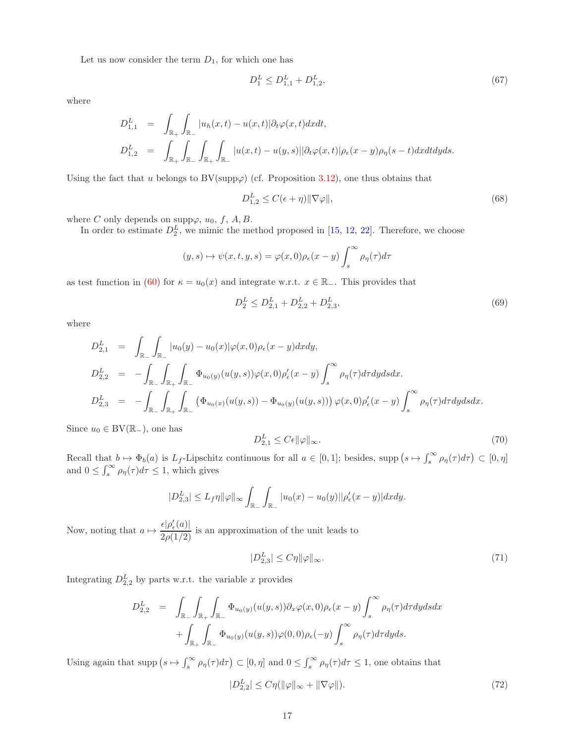Let us now consider the term  $D_1$ , for which one has

$$
D_1^L \le D_{1,1}^L + D_{1,2}^L,\tag{67}
$$

where

$$
D_{1,1}^{L} = \int_{\mathbb{R}_{+}} \int_{\mathbb{R}_{-}} |u_{h}(x,t) - u(x,t)| \partial_{t} \varphi(x,t) dx dt,
$$
  
\n
$$
D_{1,2}^{L} = \int_{\mathbb{R}_{+}} \int_{\mathbb{R}_{-}} \int_{\mathbb{R}_{+}} \int_{\mathbb{R}_{-}} |u(x,t) - u(y,s)| |\partial_{t} \varphi(x,t)| \rho_{\epsilon}(x-y) \rho_{\eta}(s-t) dx dt dy ds.
$$

Using the fact that u belongs to BV(supp $\varphi$ ) (cf. Proposition [3.12\)](#page-11-4), one thus obtains that

$$
D_{1,2}^{L} \le C(\epsilon + \eta) \|\nabla \varphi\|,\tag{68}
$$

where C only depends on supp $\varphi$ ,  $u_0$ , f, A, B.

In order to estimate  $D_2^L$ , we mimic the method proposed in [\[15,](#page-22-12) [12,](#page-22-11) [22\]](#page-23-5). Therefore, we choose

$$
(y,s) \mapsto \psi(x,t,y,s) = \varphi(x,0)\rho_{\epsilon}(x-y)\int_{s}^{\infty} \rho_{\eta}(\tau)d\tau
$$

as test function in [\(60\)](#page-14-3) for  $\kappa = u_0(x)$  and integrate w.r.t.  $x \in \mathbb{R}_-$ . This provides that

$$
D_2^L \le D_{2,1}^L + D_{2,2}^L + D_{2,3}^L,\tag{69}
$$

where

$$
D_{2,1}^{L} = \int_{\mathbb{R}_{-}} \int_{\mathbb{R}_{-}} |u_{0}(y) - u_{0}(x)| \varphi(x,0) \rho_{\epsilon}(x-y) dxdy,
$$
  
\n
$$
D_{2,2}^{L} = - \int_{\mathbb{R}_{-}} \int_{\mathbb{R}_{+}} \int_{\mathbb{R}_{-}} \Phi_{u_{0}(y)}(u(y,s)) \varphi(x,0) \rho_{\epsilon}'(x-y) \int_{s}^{\infty} \rho_{\eta}(\tau) d\tau dy ds dx.
$$
  
\n
$$
D_{2,3}^{L} = - \int_{\mathbb{R}_{-}} \int_{\mathbb{R}_{+}} \int_{\mathbb{R}_{-}} (\Phi_{u_{0}(x)}(u(y,s)) - \Phi_{u_{0}(y)}(u(y,s))) \varphi(x,0) \rho_{\epsilon}'(x-y) \int_{s}^{\infty} \rho_{\eta}(\tau) d\tau dy ds dx.
$$

Since  $u_0 \in BV(\mathbb{R}_-)$ , one has

$$
D_{2,1}^L \le C\epsilon \|\varphi\|_{\infty}.\tag{70}
$$

Recall that  $b \mapsto \Phi_b(a)$  is  $L_f$ -Lipschitz continuous for all  $a \in [0,1]$ ; besides, supp  $(s \mapsto \int_s^{\infty} \rho_{\eta}(\tau) d\tau \subset [0,\eta]$ and  $0 \leq \int_s^{\infty} \rho_{\eta}(\tau) d\tau \leq 1$ , which gives

$$
|D_{2,3}^L| \le L_f \eta \|\varphi\|_{\infty} \int_{\mathbb{R}_-} \int_{\mathbb{R}_-} |u_0(x) - u_0(y)| |\rho_{\epsilon}'(x - y)| dxdy.
$$

Now, noting that  $a \mapsto \frac{\epsilon |\rho'_{\epsilon}(a)|}{2\rho(1/2)}$  is an approximation of the unit leads to

$$
|D_{2,3}^L| \le C\eta \|\varphi\|_{\infty}.\tag{71}
$$

Integrating  $D_{2,2}^L$  by parts w.r.t. the variable x provides

$$
D_{2,2}^{L} = \int_{\mathbb{R}_{-}} \int_{\mathbb{R}_{+}} \int_{\mathbb{R}_{-}} \Phi_{u_{0}(y)}(u(y,s)) \partial_{x} \varphi(x,0) \rho_{\epsilon}(x-y) \int_{s}^{\infty} \rho_{\eta}(\tau) d\tau dy ds dx + \int_{\mathbb{R}_{+}} \int_{\mathbb{R}_{-}} \Phi_{u_{0}(y)}(u(y,s)) \varphi(0,0) \rho_{\epsilon}(-y) \int_{s}^{\infty} \rho_{\eta}(\tau) d\tau dy ds.
$$

Using again that supp  $(s \mapsto \int_s^{\infty} \rho_{\eta}(\tau) d\tau) \subset [0, \eta]$  and  $0 \leq \int_s^{\infty} \rho_{\eta}(\tau) d\tau \leq 1$ , one obtains that

$$
|D_{2,2}^L| \le C\eta(\|\varphi\|_{\infty} + \|\nabla\varphi\|). \tag{72}
$$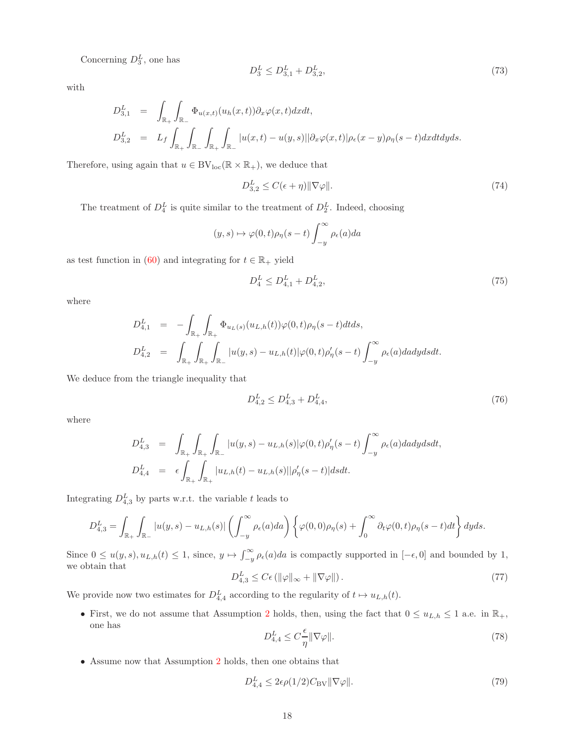Concerning  $D_3^L$ , one has

$$
D_3^L \le D_{3,1}^L + D_{3,2}^L,\tag{73}
$$

with

$$
D_{3,1}^L = \int_{\mathbb{R}_+} \int_{\mathbb{R}_-} \Phi_{u(x,t)}(u_h(x,t)) \partial_x \varphi(x,t) dx dt,
$$
  
\n
$$
D_{3,2}^L = L_f \int_{\mathbb{R}_+} \int_{\mathbb{R}_-} \int_{\mathbb{R}_+} \int_{\mathbb{R}_-} |u(x,t) - u(y,s)| |\partial_x \varphi(x,t)| \rho_{\epsilon}(x-y) \rho_{\eta}(s-t) dx dt dy ds.
$$

Therefore, using again that  $u \in BV_{loc}(\mathbb{R} \times \mathbb{R}_+)$ , we deduce that

$$
D_{3,2}^L \le C(\epsilon + \eta) \|\nabla \varphi\|.\tag{74}
$$

The treatment of  $D_4^L$  is quite similar to the treatment of  $D_2^L$ . Indeed, choosing

$$
(y,s) \mapsto \varphi(0,t)\rho_{\eta}(s-t) \int_{-y}^{\infty} \rho_{\epsilon}(a)da
$$

as test function in [\(60\)](#page-14-3) and integrating for  $t \in \mathbb{R}_+$  yield

$$
D_4^L \le D_{4,1}^L + D_{4,2}^L,\tag{75}
$$

where

$$
D_{4,1}^{L} = -\int_{\mathbb{R}_{+}} \int_{\mathbb{R}_{+}} \Phi_{u_{L}(s)}(u_{L,h}(t)) \varphi(0,t) \rho_{\eta}(s-t) dt ds,
$$
  
\n
$$
D_{4,2}^{L} = \int_{\mathbb{R}_{+}} \int_{\mathbb{R}_{+}} \int_{\mathbb{R}_{-}} |u(y,s) - u_{L,h}(t)| \varphi(0,t) \rho_{\eta}'(s-t) \int_{-y}^{\infty} \rho_{\epsilon}(a) da dy ds dt.
$$

We deduce from the triangle inequality that

$$
D_{4,2}^L \le D_{4,3}^L + D_{4,4}^L,\tag{76}
$$

where

$$
D_{4,3}^L = \int_{\mathbb{R}_+} \int_{\mathbb{R}_+} \int_{\mathbb{R}_-} |u(y,s) - u_{L,h}(s)| \varphi(0,t) \rho_{\eta}'(s-t) \int_{-y}^{\infty} \rho_{\epsilon}(a) da dy ds dt,
$$
  

$$
D_{4,4}^L = \epsilon \int_{\mathbb{R}_+} \int_{\mathbb{R}_+} |u_{L,h}(t) - u_{L,h}(s)| |\rho_{\eta}'(s-t)| ds dt.
$$

Integrating  $D_{4,3}^L$  by parts w.r.t. the variable t leads to

$$
D_{4,3}^L = \int_{\mathbb{R}_+} \int_{\mathbb{R}_-} |u(y,s) - u_{L,h}(s)| \left( \int_{-y}^{\infty} \rho_{\epsilon}(a) da \right) \left\{ \varphi(0,0) \rho_{\eta}(s) + \int_0^{\infty} \partial_t \varphi(0,t) \rho_{\eta}(s-t) dt \right\} dy ds.
$$

Since  $0 \le u(y, s), u_{L,h}(t) \le 1$ , since,  $y \mapsto \int_{-y}^{\infty} \rho_{\epsilon}(a)da$  is compactly supported in  $[-\epsilon, 0]$  and bounded by 1, we obtain that

$$
D_{4,3}^L \le C\epsilon \left( \|\varphi\|_{\infty} + \|\nabla \varphi\| \right). \tag{77}
$$

We provide now two estimates for  $D_{4,4}^L$  according to the regularity of  $t \mapsto u_{L,h}(t)$ .

• First, we do not assume that Assumption [2](#page-5-1) holds, then, using the fact that  $0 \le u_{L,h} \le 1$  a.e. in  $\mathbb{R}_+$ , one has

$$
D_{4,4}^L \le C\frac{\epsilon}{\eta} \|\nabla \varphi\|.\tag{78}
$$

• Assume now that Assumption [2](#page-5-1) holds, then one obtains that

<span id="page-17-0"></span>
$$
D_{4,4}^L \le 2\epsilon \rho(1/2) C_{\text{BV}} \|\nabla \varphi\|.\tag{79}
$$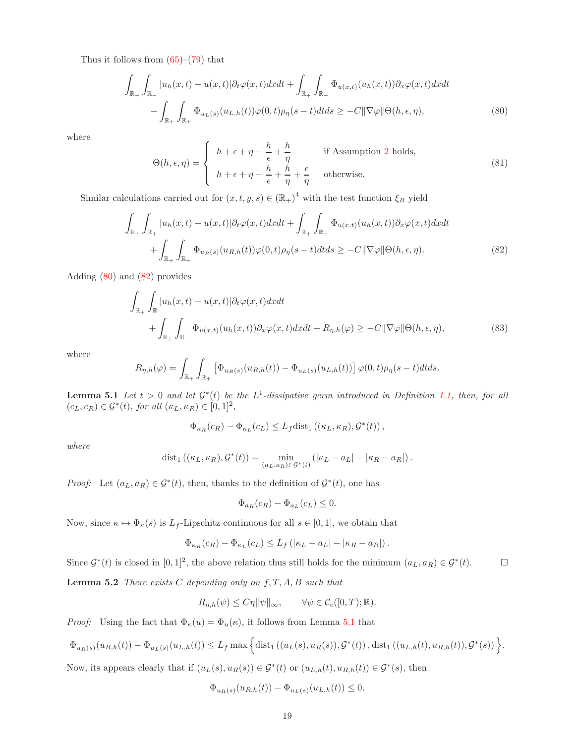Thus it follows from  $(65)-(79)$  $(65)-(79)$  that

<span id="page-18-0"></span>
$$
\int_{\mathbb{R}_+} \int_{\mathbb{R}_-} |u_h(x,t) - u(x,t)| \partial_t \varphi(x,t) dx dt + \int_{\mathbb{R}_+} \int_{\mathbb{R}_-} \Phi_{u(x,t)}(u_h(x,t)) \partial_x \varphi(x,t) dx dt \n- \int_{\mathbb{R}_+} \int_{\mathbb{R}_+} \Phi_{u_L(s)}(u_{L,h}(t)) \varphi(0,t) \rho_{\eta}(s-t) dt ds \ge -C ||\nabla \varphi|| \Theta(h,\epsilon,\eta),
$$
\n(80)

where

$$
\Theta(h,\epsilon,\eta) = \begin{cases} h+\epsilon+\eta+\frac{h}{\epsilon}+\frac{h}{\eta} & \text{if Assumption 2 holds,} \\ h+\epsilon+\eta+\frac{h}{\epsilon}+\frac{h}{\eta}+\frac{\epsilon}{\eta} & \text{otherwise.} \end{cases}
$$
(81)

Similar calculations carried out for  $(x, t, y, s) \in (\mathbb{R}_{+})^4$  with the test function  $\xi_R$  yield

<span id="page-18-1"></span>
$$
\int_{\mathbb{R}_{+}} \int_{\mathbb{R}_{+}} |u_{h}(x,t) - u(x,t)| \partial_{t} \varphi(x,t) dx dt + \int_{\mathbb{R}_{+}} \int_{\mathbb{R}_{+}} \Phi_{u(x,t)}(u_{h}(x,t)) \partial_{x} \varphi(x,t) dx dt + \int_{\mathbb{R}_{+}} \int_{\mathbb{R}_{+}} \Phi_{u_{R}(s)}(u_{R,h}(t)) \varphi(0,t) \rho_{\eta}(s-t) dt ds \geq -C ||\nabla \varphi|| \Theta(h,\epsilon,\eta). \tag{82}
$$

Adding [\(80\)](#page-18-0) and [\(82\)](#page-18-1) provides

<span id="page-18-4"></span>
$$
\int_{\mathbb{R}_{+}} \int_{\mathbb{R}} |u_{h}(x,t) - u(x,t)| \partial_{t} \varphi(x,t) dx dt \n+ \int_{\mathbb{R}_{+}} \int_{\mathbb{R}_{-}} \Phi_{u(x,t)}(u_{h}(x,t)) \partial_{x} \varphi(x,t) dx dt + R_{\eta,h}(\varphi) \geq -C ||\nabla \varphi|| \Theta(h,\epsilon,\eta),
$$
\n(83)

where

$$
R_{\eta,h}(\varphi) = \int_{\mathbb{R}_+} \int_{\mathbb{R}_+} \left[ \Phi_{u_R(s)}(u_{R,h}(t)) - \Phi_{u_L(s)}(u_{L,h}(t)) \right] \varphi(0,t) \rho_{\eta}(s-t) dt ds.
$$

<span id="page-18-2"></span>**Lemma 5.1** Let  $t > 0$  and let  $\mathcal{G}^*(t)$  be the  $L^1$ -dissipative germ introduced in Definition [1.1,](#page-1-8) then, for all  $(c_L, c_R) \in \mathcal{G}^*(t)$ , for all  $(\kappa_L, \kappa_R) \in [0, 1]^2$ ,

$$
\Phi_{\kappa_R}(c_R) - \Phi_{\kappa_L}(c_L) \leq L_f \text{dist}_1\left((\kappa_L, \kappa_R), \mathcal{G}^*(t)\right),
$$

where

$$
dist_1((\kappa_L, \kappa_R), \mathcal{G}^*(t)) = \min_{(a_L, a_R) \in \mathcal{G}^*(t)} (|\kappa_L - a_L| - |\kappa_R - a_R|).
$$

*Proof:* Let  $(a_L, a_R) \in \mathcal{G}^*(t)$ , then, thanks to the definition of  $\mathcal{G}^*(t)$ , one has

$$
\Phi_{a_R}(c_R) - \Phi_{a_L}(c_L) \leq 0.
$$

Now, since  $\kappa \mapsto \Phi_{\kappa}(s)$  is  $L_f$ -Lipschitz continuous for all  $s \in [0, 1]$ , we obtain that

$$
\Phi_{\kappa_R}(c_R) - \Phi_{\kappa_L}(c_L) \leq L_f \left( |\kappa_L - a_L| - |\kappa_R - a_R| \right).
$$

<span id="page-18-3"></span>Since  $\mathcal{G}^*(t)$  is closed in  $[0,1]^2$ , the above relation thus still holds for the minimum  $(a_L, a_R) \in \mathcal{G}^*(t)$ .

**Lemma 5.2** There exists  $C$  depending only on  $f, T, A, B$  such that

$$
R_{\eta,h}(\psi) \le C\eta \|\psi\|_{\infty}, \qquad \forall \psi \in \mathcal{C}_c([0,T); \mathbb{R}).
$$

*Proof:* Using the fact that  $\Phi_{\kappa}(u) = \Phi_{u}(\kappa)$ , it follows from Lemma [5.1](#page-18-2) that

$$
\Phi_{u_R(s)}(u_{R,h}(t)) - \Phi_{u_L(s)}(u_{L,h}(t)) \le L_f \max \Big\{ \text{dist}_1\left( (u_L(s), u_R(s)), \mathcal{G}^*(t) \right), \text{dist}_1\left( (u_{L,h}(t), u_{R,h}(t)), \mathcal{G}^*(s) \right) \Big\}.
$$

Now, its appears clearly that if  $(u_L(s), u_R(s)) \in \mathcal{G}^*(t)$  or  $(u_{L,h}(t), u_{R,h}(t)) \in \mathcal{G}^*(s)$ , then

$$
\Phi_{u_R(s)}(u_{R,h}(t)) - \Phi_{u_L(s)}(u_{L,h}(t)) \le 0.
$$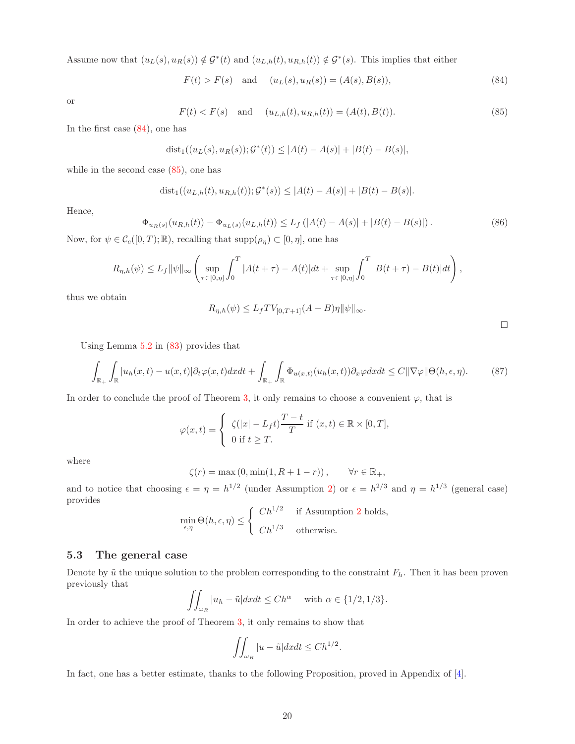Assume now that  $(u_L(s), u_R(s)) \notin \mathcal{G}^*(t)$  and  $(u_{L,h}(t), u_{R,h}(t)) \notin \mathcal{G}^*(s)$ . This implies that either

<span id="page-19-0"></span>
$$
F(t) > F(s)
$$
 and  $(uL(s), uR(s)) = (A(s), B(s)),$  (84)

or

<span id="page-19-1"></span>
$$
F(t) < F(s)
$$
 and  $(u_{L,h}(t), u_{R,h}(t)) = (A(t), B(t)).$  (85)

In the first case [\(84\)](#page-19-0), one has

dist<sub>1</sub>
$$
((uL(s), uR(s)); \mathcal{G}^*(t)) \le |A(t) - A(s)| + |B(t) - B(s)|,
$$

while in the second case [\(85\)](#page-19-1), one has

$$
dist_1((u_{L,h}(t), u_{R,h}(t)); \mathcal{G}^*(s)) \le |A(t) - A(s)| + |B(t) - B(s)|.
$$

Hence,

$$
\Phi_{u_R(s)}(u_{R,h}(t)) - \Phi_{u_L(s)}(u_{L,h}(t)) \le L_f (|A(t) - A(s)| + |B(t) - B(s)|). \tag{86}
$$

Now, for  $\psi \in \mathcal{C}_c([0,T);\mathbb{R})$ , recalling that  $\text{supp}(\rho_\eta) \subset [0,\eta]$ , one has

$$
R_{\eta,h}(\psi) \le L_f \|\psi\|_{\infty} \left( \sup_{\tau \in [0,\eta]} \int_0^T |A(t+\tau) - A(t)| dt + \sup_{\tau \in [0,\eta]} \int_0^T |B(t+\tau) - B(t)| dt \right),
$$

thus we obtain

$$
R_{\eta,h}(\psi) \le L_f TV_{[0,T+1]}(A-B)\eta \|\psi\|_{\infty}.
$$

Using Lemma [5.2](#page-18-3) in [\(83\)](#page-18-4) provides that

$$
\int_{\mathbb{R}_+} \int_{\mathbb{R}} |u_h(x,t) - u(x,t)| \partial_t \varphi(x,t) dx dt + \int_{\mathbb{R}_+} \int_{\mathbb{R}} \Phi_{u(x,t)}(u_h(x,t)) \partial_x \varphi dx dt \le C \|\nabla \varphi\| \Theta(h,\epsilon,\eta). \tag{87}
$$

In order to conclude the proof of Theorem [3,](#page-5-3) it only remains to choose a convenient  $\varphi$ , that is

$$
\varphi(x,t) = \begin{cases} \zeta(|x|-L_f t) \frac{T-t}{T} & \text{if } (x,t) \in \mathbb{R} \times [0,T], \\ 0 & \text{if } t \geq T. \end{cases}
$$

where

$$
\zeta(r) = \max(0, \min(1, R + 1 - r)), \qquad \forall r \in \mathbb{R}_+,
$$

and to notice that choosing  $\epsilon = \eta = h^{1/2}$  (under Assumption [2\)](#page-5-1) or  $\epsilon = h^{2/3}$  and  $\eta = h^{1/3}$  (general case) provides

$$
\min_{\epsilon, \eta} \Theta(h, \epsilon, \eta) \le \begin{cases} Ch^{1/2} & \text{if Assumption 2 holds,} \\ Ch^{1/3} & \text{otherwise.} \end{cases}
$$

#### 5.3 The general case

Denote by  $\tilde{u}$  the unique solution to the problem corresponding to the constraint  $F_h$ . Then it has been proven previously that

$$
\iint_{\omega_R} |u_h - \tilde{u}| dx dt \le Ch^{\alpha} \quad \text{with } \alpha \in \{1/2, 1/3\}.
$$

In order to achieve the proof of Theorem [3,](#page-5-3) it only remains to show that

<span id="page-19-2"></span>
$$
\iint_{\omega_R} |u - \tilde{u}| dx dt \le C h^{1/2}.
$$

In fact, one has a better estimate, thanks to the following Proposition, proved in Appendix of [\[4\]](#page-22-2).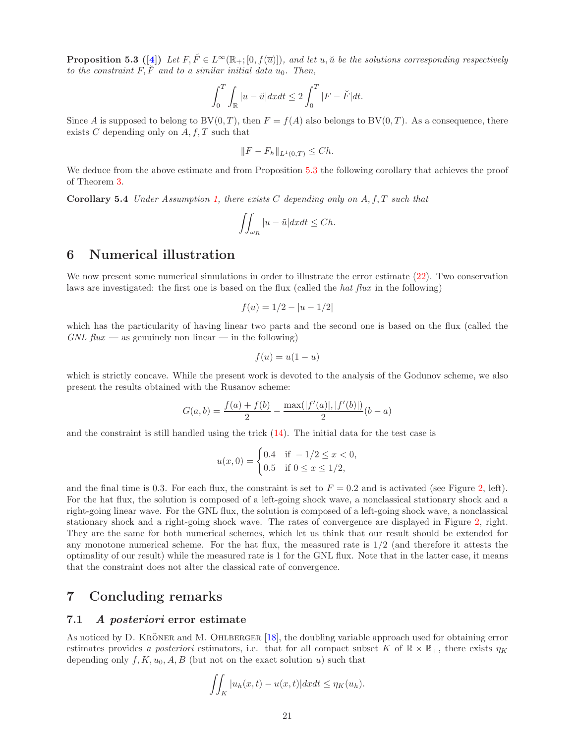**Proposition 5.3 ([\[4\]](#page-22-2))** Let  $F, \check{F} \in L^{\infty}(\mathbb{R}_+; [0, f(\overline{u})])$ , and let u,  $\check{u}$  be the solutions corresponding respectively to the constraint  $F, \tilde{F}$  and to a similar initial data  $u_0$ . Then,

$$
\int_0^T \int_{\mathbb{R}} |u - \check{u}| dx dt \le 2 \int_0^T |F - \check{F}| dt.
$$

Since A is supposed to belong to BV $(0, T)$ , then  $F = f(A)$  also belongs to BV $(0, T)$ . As a consequence, there exists  $C$  depending only on  $A, f, T$  such that

$$
||F - F_h||_{L^1(0,T)} \le Ch.
$$

We deduce from the above estimate and from Proposition [5.3](#page-19-2) the following corollary that achieves the proof of Theorem [3.](#page-5-3)

**Corollary 5.4** Under Assumption [1,](#page-5-2) there exists  $C$  depending only on  $A, f, T$  such that

$$
\iint_{\omega_R} |u - \tilde{u}| dx dt \le Ch.
$$

## <span id="page-20-0"></span>6 Numerical illustration

We now present some numerical simulations in order to illustrate the error estimate  $(22)$ . Two conservation laws are investigated: the first one is based on the flux (called the *hat flux* in the following)

$$
f(u) = 1/2 - |u - 1/2|
$$

which has the particularity of having linear two parts and the second one is based on the flux (called the  $GNL$  flux — as genuinely non linear — in the following)

$$
f(u) = u(1 - u)
$$

which is strictly concave. While the present work is devoted to the analysis of the Godunov scheme, we also present the results obtained with the Rusanov scheme:

$$
G(a,b) = \frac{f(a) + f(b)}{2} - \frac{\max(|f'(a)|, |f'(b)|)}{2}(b-a)
$$

and the constraint is still handled using the trick  $(14)$ . The initial data for the test case is

$$
u(x,0) = \begin{cases} 0.4 & \text{if } -1/2 \le x < 0, \\ 0.5 & \text{if } 0 \le x \le 1/2, \end{cases}
$$

and the final time is 0.3. For each flux, the constraint is set to  $F = 0.2$  and is activated (see Figure [2,](#page-21-0) left). For the hat flux, the solution is composed of a left-going shock wave, a nonclassical stationary shock and a right-going linear wave. For the GNL flux, the solution is composed of a left-going shock wave, a nonclassical stationary shock and a right-going shock wave. The rates of convergence are displayed in Figure [2,](#page-21-0) right. They are the same for both numerical schemes, which let us think that our result should be extended for any monotone numerical scheme. For the hat flux, the measured rate is  $1/2$  (and therefore it attests the optimality of our result) while the measured rate is 1 for the GNL flux. Note that in the latter case, it means that the constraint does not alter the classical rate of convergence.

## <span id="page-20-1"></span>7 Concluding remarks

### 7.1 A posteriori error estimate

As noticed by D. KRÖNER and M. OHLBERGER [\[18\]](#page-22-14), the doubling variable approach used for obtaining error estimates provides a posteriori estimators, i.e. that for all compact subset K of  $\mathbb{R} \times \mathbb{R}_+$ , there exists  $\eta_K$ depending only  $f, K, u_0, A, B$  (but not on the exact solution u) such that

$$
\iint_K |u_h(x,t) - u(x,t)| dx dt \leq \eta_K(u_h).
$$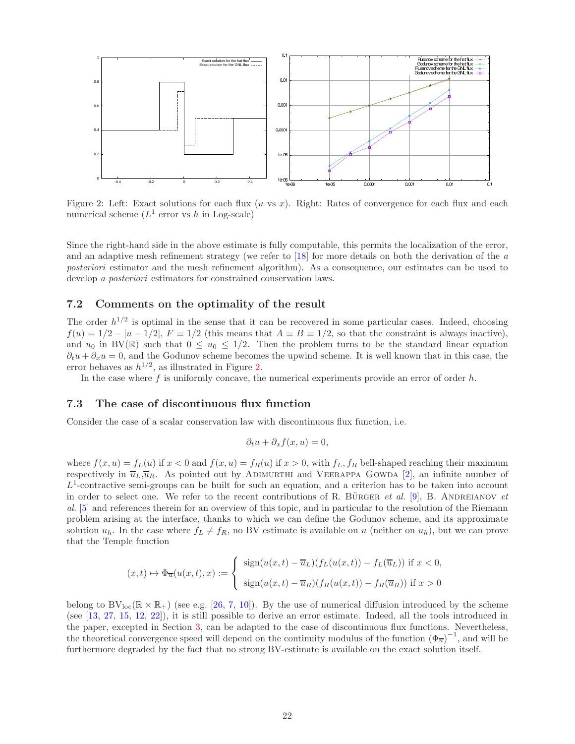

<span id="page-21-0"></span>Figure 2: Left: Exact solutions for each flux  $(u \text{ vs } x)$ . Right: Rates of convergence for each flux and each numerical scheme  $(L^1$  error vs h in Log-scale)

Since the right-hand side in the above estimate is fully computable, this permits the localization of the error, and an adaptive mesh refinement strategy (we refer to  $[18]$  for more details on both the derivation of the a posteriori estimator and the mesh refinement algorithm). As a consequence, our estimates can be used to develop a *posteriori* estimators for constrained conservation laws.

#### 7.2 Comments on the optimality of the result

The order  $h^{1/2}$  is optimal in the sense that it can be recovered in some particular cases. Indeed, choosing  $f(u) = 1/2 - |u - 1/2|$ ,  $F \equiv 1/2$  (this means that  $A \equiv B \equiv 1/2$ , so that the constraint is always inactive), and  $u_0$  in BV(R) such that  $0 \le u_0 \le 1/2$ . Then the problem turns to be the standard linear equation  $\partial_t u + \partial_x u = 0$ , and the Godunov scheme becomes the upwind scheme. It is well known that in this case, the error behaves as  $h^{1/2}$ , as illustrated in Figure [2.](#page-21-0)

In the case where f is uniformly concave, the numerical experiments provide an error of order  $h$ .

#### 7.3 The case of discontinuous flux function

Consider the case of a scalar conservation law with discontinuous flux function, i.e.

$$
\partial_t u + \partial_x f(x, u) = 0,
$$

where  $f(x, u) = f_L(u)$  if  $x < 0$  and  $f(x, u) = f_R(u)$  if  $x > 0$ , with  $f_L, f_R$  bell-shaped reaching their maximum respectively in  $\overline{u}_L,\overline{u}_R$ . As pointed out by ADIMURTHI and VEERAPPA GOWDA [\[2\]](#page-22-15), an infinite number of  $L^1$ -contractive semi-groups can be built for such an equation, and a criterion has to be taken into account in order to select one. We refer to the recent contributions of R. BÜRGER *et al.* [\[9\]](#page-22-16), B. ANDREIANOV *et* al. [\[5\]](#page-22-4) and references therein for an overview of this topic, and in particular to the resolution of the Riemann problem arising at the interface, thanks to which we can define the Godunov scheme, and its approximate solution  $u_h$ . In the case where  $f_L \neq f_R$ , no BV estimate is available on u (neither on  $u_h$ ), but we can prove that the Temple function

$$
(x,t) \mapsto \Phi_{\overline{u}}(u(x,t),x) := \begin{cases} \operatorname{sign}(u(x,t) - \overline{u}_L)(f_L(u(x,t)) - f_L(\overline{u}_L)) & \text{if } x < 0, \\ \operatorname{sign}(u(x,t) - \overline{u}_R)(f_R(u(x,t)) - f_R(\overline{u}_R)) & \text{if } x > 0 \end{cases}
$$

belong to  $BV_{loc}(\mathbb{R} \times \mathbb{R}_+)$  (see e.g. [\[26,](#page-23-6) [7,](#page-22-17) [10\]](#page-22-18)). By the use of numerical diffusion introduced by the scheme (see [\[13,](#page-22-19) [27,](#page-23-7) [15,](#page-22-12) [12,](#page-22-11) [22\]](#page-23-5)), it is still possible to derive an error estimate. Indeed, all the tools introduced in the paper, excepted in Section [3,](#page-6-2) can be adapted to the case of discontinuous flux functions. Nevertheless, the theoretical convergence speed will depend on the continuity modulus of the function  $(\Phi_{\overline{u}})^{-1}$ , and will be furthermore degraded by the fact that no strong BV-estimate is available on the exact solution itself.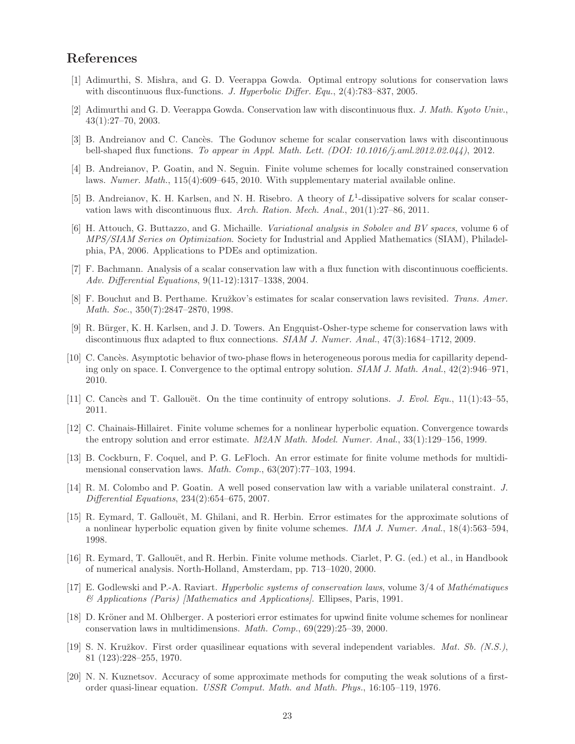## <span id="page-22-3"></span>References

- <span id="page-22-15"></span>[1] Adimurthi, S. Mishra, and G. D. Veerappa Gowda. Optimal entropy solutions for conservation laws with discontinuous flux-functions. J. Hyperbolic Differ. Equ.,  $2(4)$ :783–837, 2005.
- <span id="page-22-5"></span>[2] Adimurthi and G. D. Veerappa Gowda. Conservation law with discontinuous flux. J. Math. Kyoto Univ., 43(1):27–70, 2003.
- <span id="page-22-2"></span>[3] B. Andreianov and C. Cancès. The Godunov scheme for scalar conservation laws with discontinuous bell-shaped flux functions. To appear in Appl. Math. Lett. (DOI: 10.1016/j.aml.2012.02.044), 2012.
- [4] B. Andreianov, P. Goatin, and N. Seguin. Finite volume schemes for locally constrained conservation laws. Numer. Math., 115(4):609–645, 2010. With supplementary material available online.
- <span id="page-22-4"></span>[5] B. Andreianov, K. H. Karlsen, and N. H. Risebro. A theory of  $L^1$ -dissipative solvers for scalar conservation laws with discontinuous flux. Arch. Ration. Mech. Anal., 201(1):27–86, 2011.
- <span id="page-22-10"></span>[6] H. Attouch, G. Buttazzo, and G. Michaille. Variational analysis in Sobolev and BV spaces, volume 6 of MPS/SIAM Series on Optimization. Society for Industrial and Applied Mathematics (SIAM), Philadelphia, PA, 2006. Applications to PDEs and optimization.
- <span id="page-22-17"></span>[7] F. Bachmann. Analysis of a scalar conservation law with a flux function with discontinuous coefficients. Adv. Differential Equations, 9(11-12):1317–1338, 2004.
- <span id="page-22-13"></span>[8] F. Bouchut and B. Perthame. Kružkov's estimates for scalar conservation laws revisited. Trans. Amer. Math. Soc., 350(7):2847–2870, 1998.
- <span id="page-22-16"></span>[9] R. B¨urger, K. H. Karlsen, and J. D. Towers. An Engquist-Osher-type scheme for conservation laws with discontinuous flux adapted to flux connections. SIAM J. Numer. Anal., 47(3):1684–1712, 2009.
- <span id="page-22-18"></span>[10] C. Cancès. Asymptotic behavior of two-phase flows in heterogeneous porous media for capillarity depending only on space. I. Convergence to the optimal entropy solution.  $SIAM J. Math. Anal., 42(2):946-971$ , 2010.
- <span id="page-22-11"></span><span id="page-22-6"></span>[11] C. Cancès and T. Gallouët. On the time continuity of entropy solutions. J. Evol. Equ., 11(1):43–55, 2011.
- [12] C. Chainais-Hillairet. Finite volume schemes for a nonlinear hyperbolic equation. Convergence towards the entropy solution and error estimate. M2AN Math. Model. Numer. Anal., 33(1):129–156, 1999.
- <span id="page-22-19"></span>[13] B. Cockburn, F. Coquel, and P. G. LeFloch. An error estimate for finite volume methods for multidimensional conservation laws. Math. Comp., 63(207):77–103, 1994.
- <span id="page-22-0"></span>[14] R. M. Colombo and P. Goatin. A well posed conservation law with a variable unilateral constraint. J. Differential Equations, 234(2):654–675, 2007.
- <span id="page-22-12"></span>[15] R. Eymard, T. Gallouët, M. Ghilani, and R. Herbin. Error estimates for the approximate solutions of a nonlinear hyperbolic equation given by finite volume schemes. IMA J. Numer. Anal., 18(4):563–594, 1998.
- <span id="page-22-9"></span>[16] R. Eymard, T. Gallouët, and R. Herbin. Finite volume methods. Ciarlet, P. G. (ed.) et al., in Handbook of numerical analysis. North-Holland, Amsterdam, pp. 713–1020, 2000.
- <span id="page-22-8"></span>[17] E. Godlewski and P.-A. Raviart. *Hyperbolic systems of conservation laws*, volume  $3/4$  of *Mathématiques* & Applications (Paris) [Mathematics and Applications]. Ellipses, Paris, 1991.
- <span id="page-22-14"></span>[18] D. Kröner and M. Ohlberger. A posteriori error estimates for upwind finite volume schemes for nonlinear conservation laws in multidimensions. Math. Comp., 69(229):25–39, 2000.
- <span id="page-22-1"></span>[19] S. N. Kruˇzkov. First order quasilinear equations with several independent variables. Mat. Sb. (N.S.), 81 (123):228–255, 1970.
- <span id="page-22-7"></span>[20] N. N. Kuznetsov. Accuracy of some approximate methods for computing the weak solutions of a firstorder quasi-linear equation. USSR Comput. Math. and Math. Phys., 16:105–119, 1976.